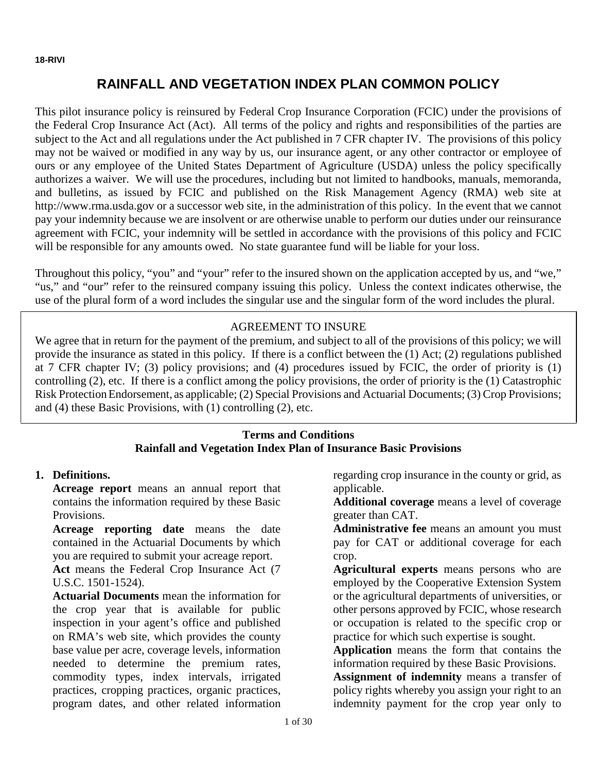# **RAINFALL AND VEGETATION INDEX PLAN COMMON POLICY**

This pilot insurance policy is reinsured by Federal Crop Insurance Corporation (FCIC) under the provisions of the Federal Crop Insurance Act (Act). All terms of the policy and rights and responsibilities of the parties are subject to the Act and all regulations under the Act published in 7 CFR chapter IV. The provisions of this policy may not be waived or modified in any way by us, our insurance agent, or any other contractor or employee of ours or any employee of the United States Department of Agriculture (USDA) unless the policy specifically authorizes a waiver. We will use the procedures, including but not limited to handbooks, manuals, memoranda, and bulletins, as issued by FCIC and published on the Risk Management Agency (RMA) web site at http://www.rma.usda.gov or a successor web site, in the administration of this policy. In the event that we cannot pay your indemnity because we are insolvent or are otherwise unable to perform our duties under our reinsurance agreement with FCIC, your indemnity will be settled in accordance with the provisions of this policy and FCIC will be responsible for any amounts owed. No state guarantee fund will be liable for your loss.

Throughout this policy, "you" and "your" refer to the insured shown on the application accepted by us, and "we," "us," and "our" refer to the reinsured company issuing this policy. Unless the context indicates otherwise, the use of the plural form of a word includes the singular use and the singular form of the word includes the plural.

## AGREEMENT TO INSURE

We agree that in return for the payment of the premium, and subject to all of the provisions of this policy; we will provide the insurance as stated in this policy. If there is a conflict between the (1) Act; (2) regulations published at 7 CFR chapter IV; (3) policy provisions; and (4) procedures issued by FCIC, the order of priority is (1) controlling (2), etc. If there is a conflict among the policy provisions, the order of priority is the (1) Catastrophic Risk ProtectionEndorsement, as applicable; (2) Special Provisions and Actuarial Documents; (3) Crop Provisions; and (4) these Basic Provisions, with (1) controlling (2), etc.

## **Terms and Conditions Rainfall and Vegetation Index Plan of Insurance Basic Provisions**

#### **1. Definitions.**

**Acreage report** means an annual report that contains the information required by these Basic Provisions.

**Acreage reporting date** means the date contained in the Actuarial Documents by which you are required to submit your acreage report.

**Act** means the Federal Crop Insurance Act (7 U.S.C. 1501-1524).

**Actuarial Documents** mean the information for the crop year that is available for public inspection in your agent's office and published on RMA's web site, which provides the county base value per acre, coverage levels, information needed to determine the premium rates, commodity types, index intervals, irrigated practices, cropping practices, organic practices, program dates, and other related information

regarding crop insurance in the county or grid, as applicable.

**Additional coverage** means a level of coverage greater than CAT.

**Administrative fee** means an amount you must pay for CAT or additional coverage for each crop.

**Agricultural experts** means persons who are employed by the Cooperative Extension System or the agricultural departments of universities, or other persons approved by FCIC, whose research or occupation is related to the specific crop or practice for which such expertise is sought.

**Application** means the form that contains the information required by these Basic Provisions.

**Assignment of indemnity** means a transfer of policy rights whereby you assign your right to an indemnity payment for the crop year only to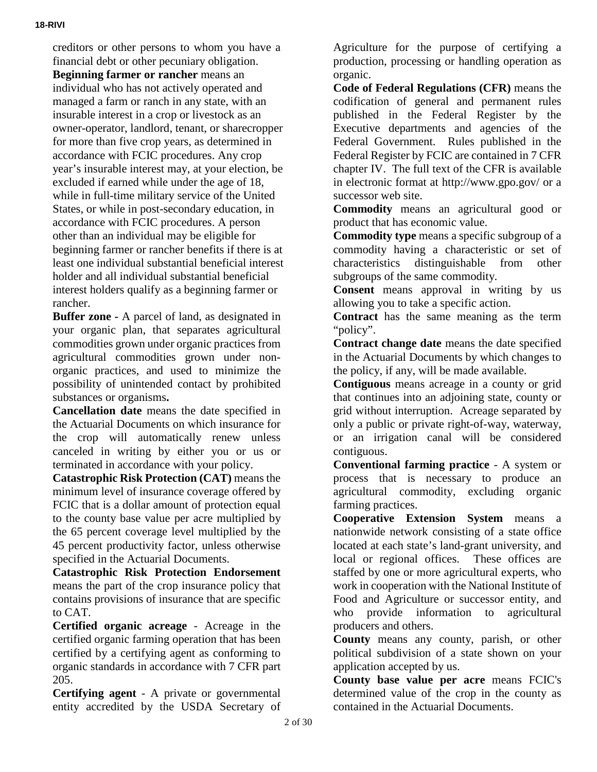creditors or other persons to whom you have a financial debt or other pecuniary obligation. **Beginning farmer or rancher** means an individual who has not actively operated and managed a farm or ranch in any state, with an insurable interest in a crop or livestock as an owner-operator, landlord, tenant, or sharecropper for more than five crop years, as determined in accordance with FCIC procedures. Any crop year's insurable interest may, at your election, be excluded if earned while under the age of 18, while in full-time military service of the United States, or while in post-secondary education, in accordance with FCIC procedures. A person other than an individual may be eligible for beginning farmer or rancher benefits if there is at least one individual substantial beneficial interest holder and all individual substantial beneficial interest holders qualify as a beginning farmer or rancher.

**Buffer zone -** A parcel of land, as designated in your organic plan, that separates agricultural commodities grown under organic practices from agricultural commodities grown under nonorganic practices, and used to minimize the possibility of unintended contact by prohibited substances or organisms**.**

**Cancellation date** means the date specified in the Actuarial Documents on which insurance for the crop will automatically renew unless canceled in writing by either you or us or terminated in accordance with your policy.

**Catastrophic Risk Protection (CAT)** means the minimum level of insurance coverage offered by FCIC that is a dollar amount of protection equal to the county base value per acre multiplied by the 65 percent coverage level multiplied by the 45 percent productivity factor, unless otherwise specified in the Actuarial Documents.

**Catastrophic Risk Protection Endorsement** means the part of the crop insurance policy that contains provisions of insurance that are specific to CAT.

**Certified organic acreage** - Acreage in the certified organic farming operation that has been certified by a certifying agent as conforming to organic standards in accordance with 7 CFR part 205.

**Certifying agent** - A private or governmental entity accredited by the USDA Secretary of

Agriculture for the purpose of certifying a production, processing or handling operation as organic.

**Code of Federal Regulations (CFR)** means the codification of general and permanent rules published in the Federal Register by the Executive departments and agencies of the Federal Government. Rules published in the Federal Register by FCIC are contained in 7 CFR chapter IV. The full text of the CFR is available in electronic format at http://www.gpo.gov/ or a successor web site.

**Commodity** means an agricultural good or product that has economic value.

**Commodity type** means a specific subgroup of a commodity having a characteristic or set of characteristics distinguishable from other subgroups of the same commodity.

**Consent** means approval in writing by us allowing you to take a specific action.

**Contract** has the same meaning as the term "policy".

**Contract change date** means the date specified in the Actuarial Documents by which changes to the policy, if any, will be made available.

**Contiguous** means acreage in a county or grid that continues into an adjoining state, county or grid without interruption. Acreage separated by only a public or private right-of-way, waterway, or an irrigation canal will be considered contiguous.

**Conventional farming practice** - A system or process that is necessary to produce an agricultural commodity, excluding organic farming practices.

**Cooperative Extension System** means a nationwide network consisting of a state office located at each state's land-grant university, and local or regional offices. These offices are staffed by one or more agricultural experts, who work in cooperation with the National Institute of Food and Agriculture or successor entity, and who provide information to agricultural producers and others.

**County** means any county, parish, or other political subdivision of a state shown on your application accepted by us.

**County base value per acre** means FCIC's determined value of the crop in the county as contained in the Actuarial Documents.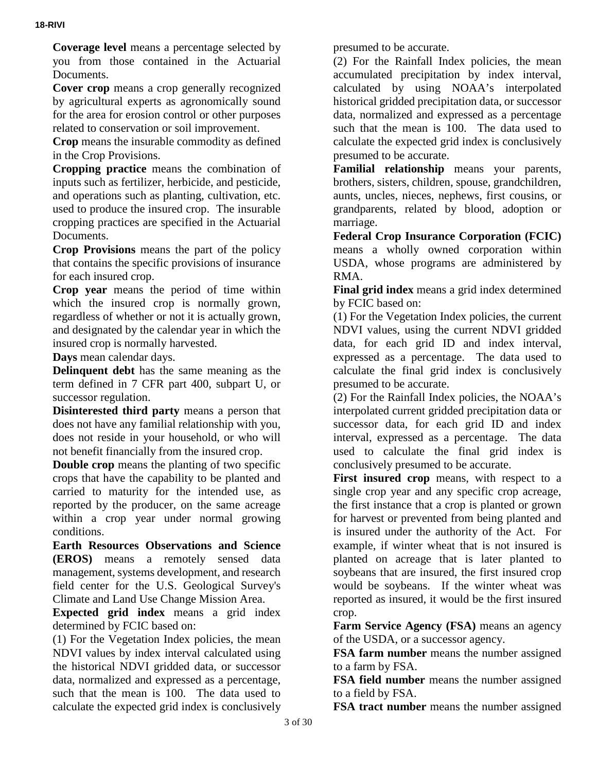**Coverage level** means a percentage selected by you from those contained in the Actuarial Documents.

**Cover crop** means a crop generally recognized by agricultural experts as agronomically sound for the area for erosion control or other purposes related to conservation or soil improvement.

**Crop** means the insurable commodity as defined in the Crop Provisions.

**Cropping practice** means the combination of inputs such as fertilizer, herbicide, and pesticide, and operations such as planting, cultivation, etc. used to produce the insured crop. The insurable cropping practices are specified in the Actuarial Documents.

**Crop Provisions** means the part of the policy that contains the specific provisions of insurance for each insured crop.

**Crop year** means the period of time within which the insured crop is normally grown, regardless of whether or not it is actually grown, and designated by the calendar year in which the insured crop is normally harvested.

**Days** mean calendar days.

**Delinquent debt** has the same meaning as the term defined in 7 CFR part 400, subpart U, or successor regulation.

**Disinterested third party** means a person that does not have any familial relationship with you, does not reside in your household, or who will not benefit financially from the insured crop.

**Double crop** means the planting of two specific crops that have the capability to be planted and carried to maturity for the intended use, as reported by the producer, on the same acreage within a crop year under normal growing conditions.

**Earth Resources Observations and Science (EROS)** means a remotely sensed data management, systems development, and research field center for the U.S. Geological Survey's Climate and Land Use Change Mission Area.

**Expected grid index** means a grid index determined by FCIC based on:

(1) For the Vegetation Index policies, the mean NDVI values by index interval calculated using the historical NDVI gridded data, or successor data, normalized and expressed as a percentage, such that the mean is 100. The data used to calculate the expected grid index is conclusively

presumed to be accurate.

(2) For the Rainfall Index policies, the mean accumulated precipitation by index interval, calculated by using NOAA's interpolated historical gridded precipitation data, or successor data, normalized and expressed as a percentage such that the mean is 100. The data used to calculate the expected grid index is conclusively presumed to be accurate.

**Familial relationship** means your parents, brothers, sisters, children, spouse, grandchildren, aunts, uncles, nieces, nephews, first cousins, or grandparents, related by blood, adoption or marriage.

**Federal Crop Insurance Corporation (FCIC)** means a wholly owned corporation within USDA, whose programs are administered by RMA.

**Final grid index** means a grid index determined by FCIC based on:

(1) For the Vegetation Index policies, the current NDVI values, using the current NDVI gridded data, for each grid ID and index interval, expressed as a percentage. The data used to calculate the final grid index is conclusively presumed to be accurate.

(2) For the Rainfall Index policies, the NOAA's interpolated current gridded precipitation data or successor data, for each grid ID and index interval, expressed as a percentage. The data used to calculate the final grid index is conclusively presumed to be accurate.

First insured crop means, with respect to a single crop year and any specific crop acreage, the first instance that a crop is planted or grown for harvest or prevented from being planted and is insured under the authority of the Act. For example, if winter wheat that is not insured is planted on acreage that is later planted to soybeans that are insured, the first insured crop would be soybeans. If the winter wheat was reported as insured, it would be the first insured crop.

**Farm Service Agency (FSA)** means an agency of the USDA, or a successor agency.

**FSA farm number** means the number assigned to a farm by FSA.

**FSA field number** means the number assigned to a field by FSA.

**FSA tract number** means the number assigned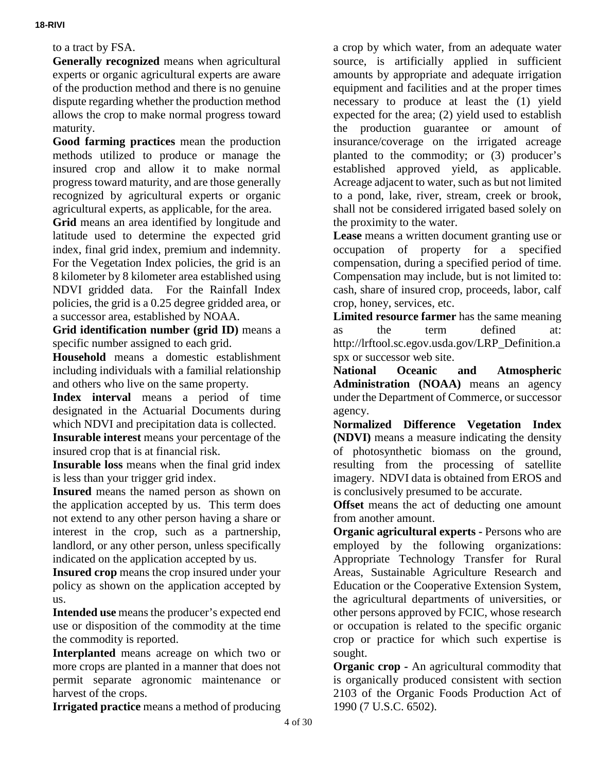to a tract by FSA.

**Generally recognized** means when agricultural experts or organic agricultural experts are aware of the production method and there is no genuine dispute regarding whether the production method allows the crop to make normal progress toward maturity.

**Good farming practices** mean the production methods utilized to produce or manage the insured crop and allow it to make normal progress toward maturity, and are those generally recognized by agricultural experts or organic agricultural experts, as applicable, for the area.

**Grid** means an area identified by longitude and latitude used to determine the expected grid index, final grid index, premium and indemnity. For the Vegetation Index policies, the grid is an 8 kilometer by 8 kilometer area established using NDVI gridded data. For the Rainfall Index policies, the grid is a 0.25 degree gridded area, or a successor area, established by NOAA.

**Grid identification number (grid ID)** means a specific number assigned to each grid.

**Household** means a domestic establishment including individuals with a familial relationship and others who live on the same property.

**Index interval** means a period of time designated in the Actuarial Documents during which NDVI and precipitation data is collected.

**Insurable interest** means your percentage of the insured crop that is at financial risk.

**Insurable loss** means when the final grid index is less than your trigger grid index.

**Insured** means the named person as shown on the application accepted by us. This term does not extend to any other person having a share or interest in the crop, such as a partnership, landlord, or any other person, unless specifically indicated on the application accepted by us.

**Insured crop** means the crop insured under your policy as shown on the application accepted by us.

**Intended use** means the producer's expected end use or disposition of the commodity at the time the commodity is reported.

**Interplanted** means acreage on which two or more crops are planted in a manner that does not permit separate agronomic maintenance or harvest of the crops.

**Irrigated practice** means a method of producing

a crop by which water, from an adequate water source, is artificially applied in sufficient amounts by appropriate and adequate irrigation equipment and facilities and at the proper times necessary to produce at least the (1) yield expected for the area; (2) yield used to establish the production guarantee or amount of insurance/coverage on the irrigated acreage planted to the commodity; or (3) producer's established approved yield, as applicable. Acreage adjacent to water, such as but not limited to a pond, lake, river, stream, creek or brook, shall not be considered irrigated based solely on the proximity to the water.

**Lease** means a written document granting use or occupation of property for a specified compensation, during a specified period of time. Compensation may include, but is not limited to: cash, share of insured crop, proceeds, labor, calf crop, honey, services, etc.

**Limited resource farmer** has the same meaning as the term defined at: http://lrftool.sc.egov.usda.gov/LRP\_Definition.a spx or successor web site.

**National Oceanic and Atmospheric Administration (NOAA)** means an agency under the Department of Commerce, or successor agency.

**Normalized Difference Vegetation Index (NDVI)** means a measure indicating the density of photosynthetic biomass on the ground, resulting from the processing of satellite imagery. NDVI data is obtained from EROS and is conclusively presumed to be accurate.

**Offset** means the act of deducting one amount from another amount.

**Organic agricultural experts -** Persons who are employed by the following organizations: Appropriate Technology Transfer for Rural Areas, Sustainable Agriculture Research and Education or the Cooperative Extension System, the agricultural departments of universities, or other persons approved by FCIC, whose research or occupation is related to the specific organic crop or practice for which such expertise is sought.

**Organic crop -** An agricultural commodity that is organically produced consistent with section 2103 of the Organic Foods Production Act of 1990 (7 U.S.C. 6502).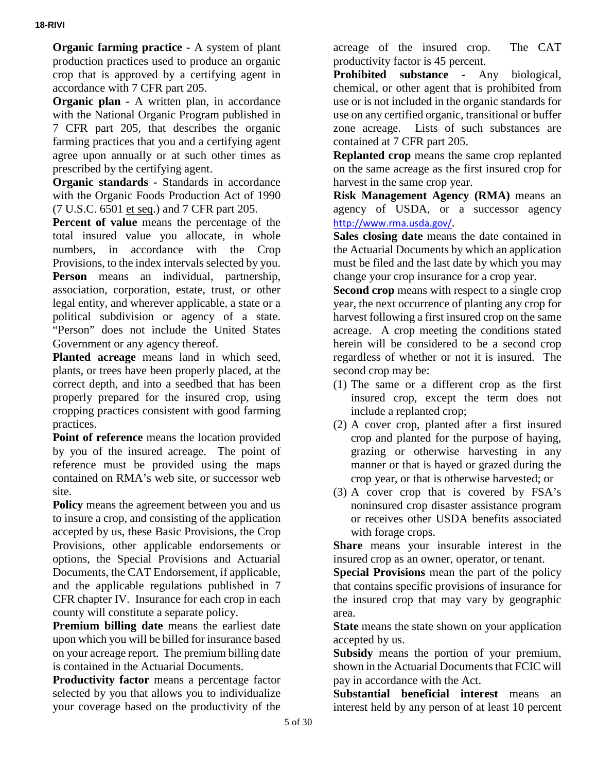**Organic farming practice -** A system of plant production practices used to produce an organic crop that is approved by a certifying agent in accordance with 7 CFR part 205.

**Organic plan -** A written plan, in accordance with the National Organic Program published in 7 CFR part 205, that describes the organic farming practices that you and a certifying agent agree upon annually or at such other times as prescribed by the certifying agent.

**Organic standards -** Standards in accordance with the Organic Foods Production Act of 1990 (7 U.S.C. 6501 et seq.) and 7 CFR part 205.

**Percent of value** means the percentage of the total insured value you allocate, in whole numbers, in accordance with the Crop Provisions, to the index intervals selected by you. **Person** means an individual, partnership, association, corporation, estate, trust, or other legal entity, and wherever applicable, a state or a political subdivision or agency of a state. "Person" does not include the United States Government or any agency thereof.

**Planted acreage** means land in which seed, plants, or trees have been properly placed, at the correct depth, and into a seedbed that has been properly prepared for the insured crop, using cropping practices consistent with good farming practices.

**Point of reference** means the location provided by you of the insured acreage. The point of reference must be provided using the maps contained on RMA's web site, or successor web site.

**Policy** means the agreement between you and us to insure a crop, and consisting of the application accepted by us, these Basic Provisions, the Crop Provisions, other applicable endorsements or options, the Special Provisions and Actuarial Documents, the CAT Endorsement, if applicable, and the applicable regulations published in 7 CFR chapter IV. Insurance for each crop in each county will constitute a separate policy.

**Premium billing date** means the earliest date upon which you will be billed for insurance based on your acreage report. The premium billing date is contained in the Actuarial Documents.

**Productivity factor** means a percentage factor selected by you that allows you to individualize your coverage based on the productivity of the

acreage of the insured crop. The CAT productivity factor is 45 percent.

**Prohibited substance -** Any biological, chemical, or other agent that is prohibited from use or is not included in the organic standards for use on any certified organic, transitional or buffer zone acreage. Lists of such substances are contained at 7 CFR part 205.

**Replanted crop** means the same crop replanted on the same acreage as the first insured crop for harvest in the same crop year.

**Risk Management Agency (RMA)** means an agency of USDA, or a successor agency <http://www.rma.usda.gov/>.

**Sales closing date** means the date contained in the Actuarial Documents by which an application must be filed and the last date by which you may change your crop insurance for a crop year.

**Second crop** means with respect to a single crop year, the next occurrence of planting any crop for harvest following a first insured crop on the same acreage. A crop meeting the conditions stated herein will be considered to be a second crop regardless of whether or not it is insured. The second crop may be:

- (1) The same or a different crop as the first insured crop, except the term does not include a replanted crop;
- (2) A cover crop, planted after a first insured crop and planted for the purpose of haying, grazing or otherwise harvesting in any manner or that is hayed or grazed during the crop year, or that is otherwise harvested; or
- (3) A cover crop that is covered by FSA's noninsured crop disaster assistance program or receives other USDA benefits associated with forage crops.

**Share** means your insurable interest in the insured crop as an owner, operator, or tenant.

**Special Provisions** mean the part of the policy that contains specific provisions of insurance for the insured crop that may vary by geographic area.

**State** means the state shown on your application accepted by us.

**Subsidy** means the portion of your premium, shown in the Actuarial Documents that FCIC will pay in accordance with the Act.

**Substantial beneficial interest** means an interest held by any person of at least 10 percent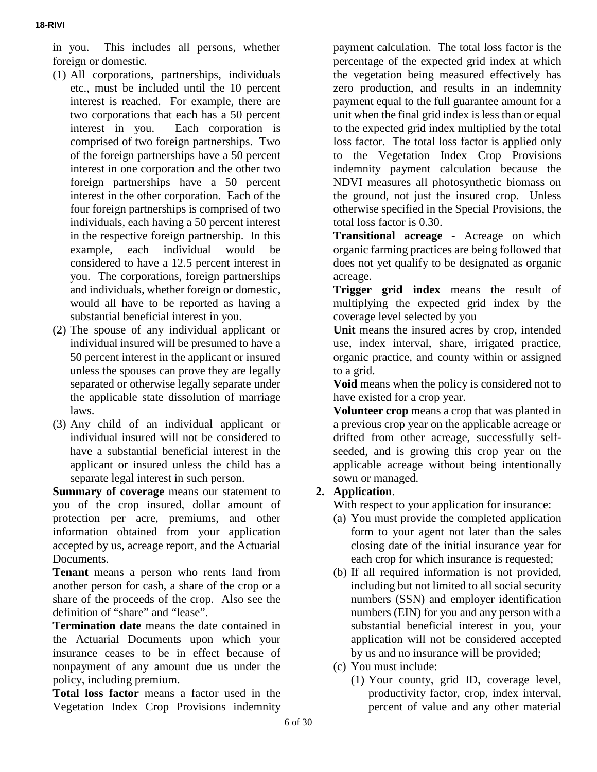in you. This includes all persons, whether foreign or domestic.

- (1) All corporations, partnerships, individuals etc., must be included until the 10 percent interest is reached. For example, there are two corporations that each has a 50 percent interest in you. Each corporation is comprised of two foreign partnerships. Two of the foreign partnerships have a 50 percent interest in one corporation and the other two foreign partnerships have a 50 percent interest in the other corporation. Each of the four foreign partnerships is comprised of two individuals, each having a 50 percent interest in the respective foreign partnership. In this example, each individual would be considered to have a 12.5 percent interest in you. The corporations, foreign partnerships and individuals, whether foreign or domestic, would all have to be reported as having a substantial beneficial interest in you.
- (2) The spouse of any individual applicant or individual insured will be presumed to have a 50 percent interest in the applicant or insured unless the spouses can prove they are legally separated or otherwise legally separate under the applicable state dissolution of marriage laws.
- (3) Any child of an individual applicant or individual insured will not be considered to have a substantial beneficial interest in the applicant or insured unless the child has a separate legal interest in such person.

**Summary of coverage** means our statement to you of the crop insured, dollar amount of protection per acre, premiums, and other information obtained from your application accepted by us, acreage report, and the Actuarial Documents.

**Tenant** means a person who rents land from another person for cash, a share of the crop or a share of the proceeds of the crop. Also see the definition of "share" and "lease".

**Termination date** means the date contained in the Actuarial Documents upon which your insurance ceases to be in effect because of nonpayment of any amount due us under the policy, including premium.

**Total loss factor** means a factor used in the Vegetation Index Crop Provisions indemnity payment calculation. The total loss factor is the percentage of the expected grid index at which the vegetation being measured effectively has zero production, and results in an indemnity payment equal to the full guarantee amount for a unit when the final grid index is less than or equal to the expected grid index multiplied by the total loss factor. The total loss factor is applied only to the Vegetation Index Crop Provisions indemnity payment calculation because the NDVI measures all photosynthetic biomass on the ground, not just the insured crop. Unless otherwise specified in the Special Provisions, the total loss factor is 0.30.

**Transitional acreage -** Acreage on which organic farming practices are being followed that does not yet qualify to be designated as organic acreage.

**Trigger grid index** means the result of multiplying the expected grid index by the coverage level selected by you

**Unit** means the insured acres by crop, intended use, index interval, share, irrigated practice, organic practice, and county within or assigned to a grid.

**Void** means when the policy is considered not to have existed for a crop year.

**Volunteer crop** means a crop that was planted in a previous crop year on the applicable acreage or drifted from other acreage, successfully selfseeded, and is growing this crop year on the applicable acreage without being intentionally sown or managed.

#### **2. Application**.

With respect to your application for insurance:

- (a) You must provide the completed application form to your agent not later than the sales closing date of the initial insurance year for each crop for which insurance is requested;
- (b) If all required information is not provided, including but not limited to all social security numbers (SSN) and employer identification numbers (EIN) for you and any person with a substantial beneficial interest in you, your application will not be considered accepted by us and no insurance will be provided;
- (c) You must include:
	- (1) Your county, grid ID, coverage level, productivity factor, crop, index interval, percent of value and any other material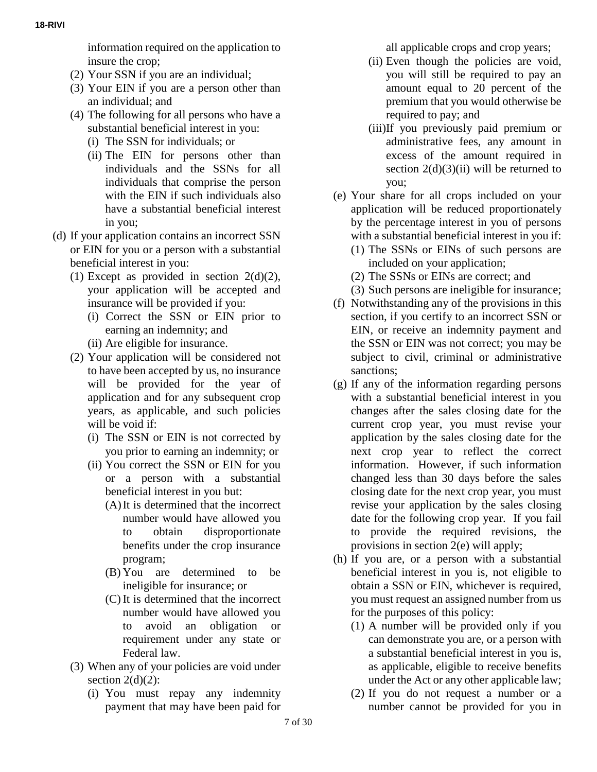information required on the application to insure the crop;

- (2) Your SSN if you are an individual;
- (3) Your EIN if you are a person other than an individual; and
- (4) The following for all persons who have a substantial beneficial interest in you:
	- (i) The SSN for individuals; or
	- (ii) The EIN for persons other than individuals and the SSNs for all individuals that comprise the person with the EIN if such individuals also have a substantial beneficial interest in you;
- (d) If your application contains an incorrect SSN or EIN for you or a person with a substantial beneficial interest in you:
	- (1) Except as provided in section  $2(d)(2)$ , your application will be accepted and insurance will be provided if you:
		- (i) Correct the SSN or EIN prior to earning an indemnity; and
		- (ii) Are eligible for insurance.
	- (2) Your application will be considered not to have been accepted by us, no insurance will be provided for the year of application and for any subsequent crop years, as applicable, and such policies will be void if:
		- (i) The SSN or EIN is not corrected by you prior to earning an indemnity; or
		- (ii) You correct the SSN or EIN for you or a person with a substantial beneficial interest in you but:
			- (A)It is determined that the incorrect number would have allowed you to obtain disproportionate benefits under the crop insurance program;
			- (B) You are determined to be ineligible for insurance; or
			- (C) It is determined that the incorrect number would have allowed you to avoid an obligation or requirement under any state or Federal law.
	- (3) When any of your policies are void under section  $2(d)(2)$ :
		- (i) You must repay any indemnity payment that may have been paid for

all applicable crops and crop years;

- (ii) Even though the policies are void, you will still be required to pay an amount equal to 20 percent of the premium that you would otherwise be required to pay; and
- (iii)If you previously paid premium or administrative fees, any amount in excess of the amount required in section  $2(d)(3)(ii)$  will be returned to you;
- (e) Your share for all crops included on your application will be reduced proportionately by the percentage interest in you of persons with a substantial beneficial interest in you if:
	- (1) The SSNs or EINs of such persons are included on your application;
	- (2) The SSNs or EINs are correct; and
	- (3) Such persons are ineligible for insurance;
- (f) Notwithstanding any of the provisions in this section, if you certify to an incorrect SSN or EIN, or receive an indemnity payment and the SSN or EIN was not correct; you may be subject to civil, criminal or administrative sanctions;
- (g) If any of the information regarding persons with a substantial beneficial interest in you changes after the sales closing date for the current crop year, you must revise your application by the sales closing date for the next crop year to reflect the correct information. However, if such information changed less than 30 days before the sales closing date for the next crop year, you must revise your application by the sales closing date for the following crop year. If you fail to provide the required revisions, the provisions in section 2(e) will apply;
- (h) If you are, or a person with a substantial beneficial interest in you is, not eligible to obtain a SSN or EIN, whichever is required, you must request an assigned number from us for the purposes of this policy:
	- (1) A number will be provided only if you can demonstrate you are, or a person with a substantial beneficial interest in you is, as applicable, eligible to receive benefits under the Act or any other applicable law;
	- (2) If you do not request a number or a number cannot be provided for you in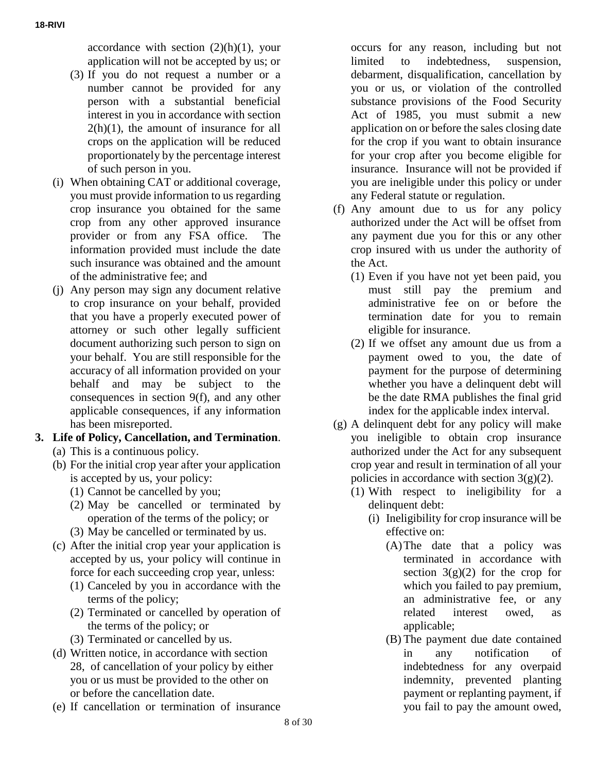accordance with section  $(2)(h)(1)$ , your application will not be accepted by us; or

- (3) If you do not request a number or a number cannot be provided for any person with a substantial beneficial interest in you in accordance with section  $2(h)(1)$ , the amount of insurance for all crops on the application will be reduced proportionately by the percentage interest of such person in you.
- (i) When obtaining CAT or additional coverage, you must provide information to us regarding crop insurance you obtained for the same crop from any other approved insurance provider or from any FSA office. The information provided must include the date such insurance was obtained and the amount of the administrative fee; and
- (j) Any person may sign any document relative to crop insurance on your behalf, provided that you have a properly executed power of attorney or such other legally sufficient document authorizing such person to sign on your behalf. You are still responsible for the accuracy of all information provided on your behalf and may be subject to the consequences in section 9(f), and any other applicable consequences, if any information has been misreported.
- **3. Life of Policy, Cancellation, and Termination**.
	- (a) This is a continuous policy.
	- (b) For the initial crop year after your application is accepted by us, your policy:
		- (1) Cannot be cancelled by you;
		- (2) May be cancelled or terminated by operation of the terms of the policy; or
		- (3) May be cancelled or terminated by us.
	- (c) After the initial crop year your application is accepted by us, your policy will continue in force for each succeeding crop year, unless:
		- (1) Canceled by you in accordance with the terms of the policy;
		- (2) Terminated or cancelled by operation of the terms of the policy; or
		- (3) Terminated or cancelled by us.
	- (d) Written notice, in accordance with section 28, of cancellation of your policy by either you or us must be provided to the other on or before the cancellation date.
	- (e) If cancellation or termination of insurance

occurs for any reason, including but not limited to indebtedness, suspension, debarment, disqualification, cancellation by you or us, or violation of the controlled substance provisions of the Food Security Act of 1985, you must submit a new application on or before the sales closing date for the crop if you want to obtain insurance for your crop after you become eligible for insurance. Insurance will not be provided if you are ineligible under this policy or under any Federal statute or regulation.

- (f) Any amount due to us for any policy authorized under the Act will be offset from any payment due you for this or any other crop insured with us under the authority of the Act.
	- (1) Even if you have not yet been paid, you must still pay the premium and administrative fee on or before the termination date for you to remain eligible for insurance.
	- (2) If we offset any amount due us from a payment owed to you, the date of payment for the purpose of determining whether you have a delinquent debt will be the date RMA publishes the final grid index for the applicable index interval.
- (g) A delinquent debt for any policy will make you ineligible to obtain crop insurance authorized under the Act for any subsequent crop year and result in termination of all your policies in accordance with section  $3(g)(2)$ .
	- (1) With respect to ineligibility for a delinquent debt:
		- (i) Ineligibility for crop insurance will be effective on:
			- (A)The date that a policy was terminated in accordance with section  $3(g)(2)$  for the crop for which you failed to pay premium, an administrative fee, or any related interest owed, as applicable;
			- (B) The payment due date contained in any notification of indebtedness for any overpaid indemnity, prevented planting payment or replanting payment, if you fail to pay the amount owed,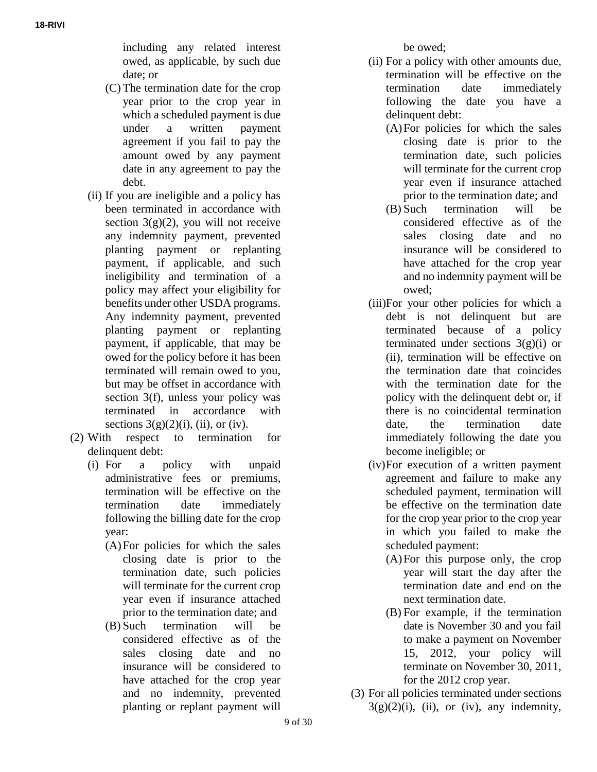including any related interest owed, as applicable, by such due date; or

- (C) The termination date for the crop year prior to the crop year in which a scheduled payment is due under a written payment agreement if you fail to pay the amount owed by any payment date in any agreement to pay the debt.
- (ii) If you are ineligible and a policy has been terminated in accordance with section  $3(g)(2)$ , you will not receive any indemnity payment, prevented planting payment or replanting payment, if applicable, and such ineligibility and termination of a policy may affect your eligibility for benefits under other USDA programs. Any indemnity payment, prevented planting payment or replanting payment, if applicable, that may be owed for the policy before it has been terminated will remain owed to you, but may be offset in accordance with section 3(f), unless your policy was terminated in accordance with sections  $3(g)(2)(i)$ , (ii), or (iv).
- (2) With respect to termination for delinquent debt:
	- (i) For a policy with unpaid administrative fees or premiums, termination will be effective on the termination date immediately following the billing date for the crop year:
		- (A)For policies for which the sales closing date is prior to the termination date, such policies will terminate for the current crop year even if insurance attached prior to the termination date; and
		- (B) Such termination will be considered effective as of the sales closing date and no insurance will be considered to have attached for the crop year and no indemnity, prevented planting or replant payment will

be owed;

- (ii) For a policy with other amounts due, termination will be effective on the termination date immediately following the date you have a delinquent debt:
	- (A)For policies for which the sales closing date is prior to the termination date, such policies will terminate for the current crop year even if insurance attached prior to the termination date; and
	- (B) Such termination will be considered effective as of the sales closing date and no insurance will be considered to have attached for the crop year and no indemnity payment will be owed;
- (iii)For your other policies for which a debt is not delinquent but are terminated because of a policy terminated under sections  $3(g)(i)$  or (ii), termination will be effective on the termination date that coincides with the termination date for the policy with the delinquent debt or, if there is no coincidental termination date, the termination date immediately following the date you become ineligible; or
- (iv)For execution of a written payment agreement and failure to make any scheduled payment, termination will be effective on the termination date for the crop year prior to the crop year in which you failed to make the scheduled payment:
	- (A)For this purpose only, the crop year will start the day after the termination date and end on the next termination date.
	- (B) For example, if the termination date is November 30 and you fail to make a payment on November 15, 2012, your policy will terminate on November 30, 2011, for the 2012 crop year.
- (3) For all policies terminated under sections  $3(g)(2)(i)$ , (ii), or (iv), any indemnity,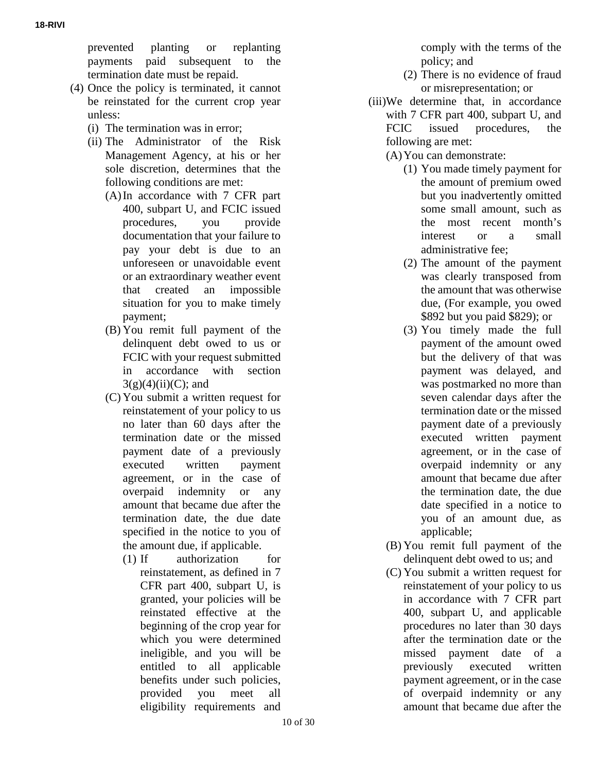prevented planting or replanting payments paid subsequent to the termination date must be repaid.

- (4) Once the policy is terminated, it cannot be reinstated for the current crop year unless:
	- (i) The termination was in error;
	- (ii) The Administrator of the Risk Management Agency, at his or her sole discretion, determines that the following conditions are met:
		- (A)In accordance with 7 CFR part 400, subpart U, and FCIC issued procedures, you provide documentation that your failure to pay your debt is due to an unforeseen or unavoidable event or an extraordinary weather event that created an impossible situation for you to make timely payment;
		- (B) You remit full payment of the delinquent debt owed to us or FCIC with your request submitted in accordance with section  $3(g)(4)(ii)(C)$ ; and
		- (C) You submit a written request for reinstatement of your policy to us no later than 60 days after the termination date or the missed payment date of a previously executed written payment agreement, or in the case of overpaid indemnity or any amount that became due after the termination date, the due date specified in the notice to you of the amount due, if applicable.
			- (1) If authorization for reinstatement, as defined in 7 CFR part 400, subpart U, is granted, your policies will be reinstated effective at the beginning of the crop year for which you were determined ineligible, and you will be entitled to all applicable benefits under such policies, provided you meet all eligibility requirements and

comply with the terms of the policy; and

- (2) There is no evidence of fraud or misrepresentation; or
- (iii)We determine that, in accordance with 7 CFR part 400, subpart U, and FCIC issued procedures, the following are met:
	- (A)You can demonstrate:
		- (1) You made timely payment for the amount of premium owed but you inadvertently omitted some small amount, such as the most recent month's interest or a small administrative fee;
		- (2) The amount of the payment was clearly transposed from the amount that was otherwise due, (For example, you owed \$892 but you paid \$829); or
		- (3) You timely made the full payment of the amount owed but the delivery of that was payment was delayed, and was postmarked no more than seven calendar days after the termination date or the missed payment date of a previously executed written payment agreement, or in the case of overpaid indemnity or any amount that became due after the termination date, the due date specified in a notice to you of an amount due, as applicable;
	- (B) You remit full payment of the delinquent debt owed to us; and
	- (C) You submit a written request for reinstatement of your policy to us in accordance with 7 CFR part 400, subpart U, and applicable procedures no later than 30 days after the termination date or the missed payment date of a previously executed written payment agreement, or in the case of overpaid indemnity or any amount that became due after the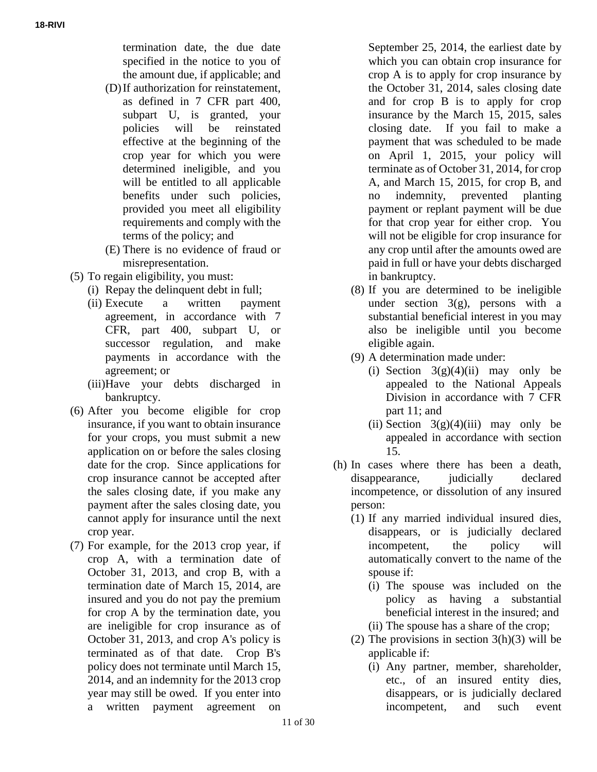termination date, the due date specified in the notice to you of the amount due, if applicable; and

- (D)If authorization for reinstatement, as defined in 7 CFR part 400, subpart U, is granted, your policies will be reinstated effective at the beginning of the crop year for which you were determined ineligible, and you will be entitled to all applicable benefits under such policies, provided you meet all eligibility requirements and comply with the terms of the policy; and
- (E) There is no evidence of fraud or misrepresentation.
- (5) To regain eligibility, you must:
	- (i) Repay the delinquent debt in full;
	- (ii) Execute a written payment agreement, in accordance with 7 CFR, part 400, subpart U, or successor regulation, and make payments in accordance with the agreement; or
	- (iii)Have your debts discharged in bankruptcy.
- (6) After you become eligible for crop insurance, if you want to obtain insurance for your crops, you must submit a new application on or before the sales closing date for the crop. Since applications for crop insurance cannot be accepted after the sales closing date, if you make any payment after the sales closing date, you cannot apply for insurance until the next crop year.
- (7) For example, for the 2013 crop year, if crop A, with a termination date of October 31, 2013, and crop B, with a termination date of March 15, 2014, are insured and you do not pay the premium for crop A by the termination date, you are ineligible for crop insurance as of October 31, 2013, and crop A's policy is terminated as of that date. Crop B's policy does not terminate until March 15, 2014, and an indemnity for the 2013 crop year may still be owed. If you enter into a written payment agreement on

September 25, 2014, the earliest date by which you can obtain crop insurance for crop A is to apply for crop insurance by the October 31, 2014, sales closing date and for crop B is to apply for crop insurance by the March 15, 2015, sales closing date. If you fail to make a payment that was scheduled to be made on April 1, 2015, your policy will terminate as of October 31, 2014, for crop A, and March 15, 2015, for crop B, and no indemnity, prevented planting payment or replant payment will be due for that crop year for either crop. You will not be eligible for crop insurance for any crop until after the amounts owed are paid in full or have your debts discharged in bankruptcy.

- (8) If you are determined to be ineligible under section 3(g), persons with a substantial beneficial interest in you may also be ineligible until you become eligible again.
- (9) A determination made under:
	- (i) Section  $3(g)(4)(ii)$  may only be appealed to the National Appeals Division in accordance with 7 CFR part 11; and
	- (ii) Section  $3(g)(4)$ (iii) may only be appealed in accordance with section 15.
- (h) In cases where there has been a death, disappearance, judicially declared incompetence, or dissolution of any insured person:
	- (1) If any married individual insured dies, disappears, or is judicially declared incompetent, the policy will automatically convert to the name of the spouse if:
		- (i) The spouse was included on the policy as having a substantial beneficial interest in the insured; and
		- (ii) The spouse has a share of the crop;
	- (2) The provisions in section  $3(h)(3)$  will be applicable if:
		- (i) Any partner, member, shareholder, etc., of an insured entity dies, disappears, or is judicially declared incompetent, and such event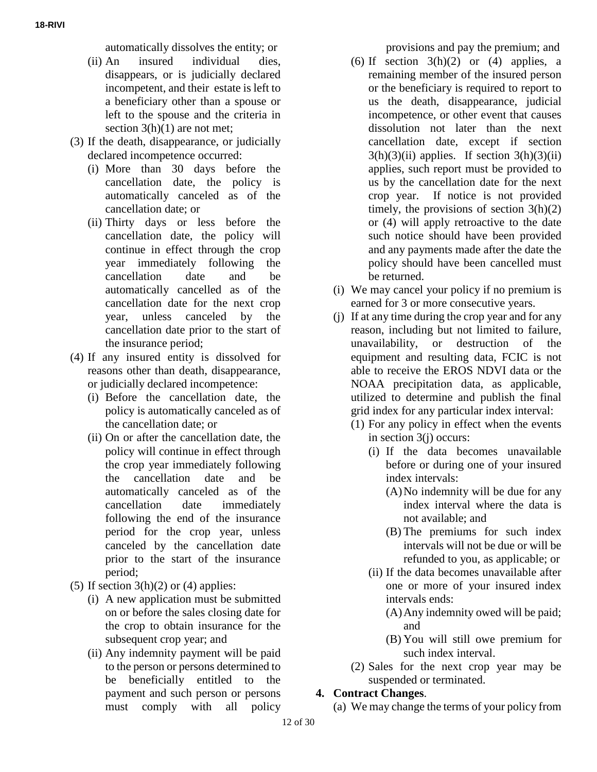automatically dissolves the entity; or

- (ii) An insured individual dies, disappears, or is judicially declared incompetent, and their estate is left to a beneficiary other than a spouse or left to the spouse and the criteria in section  $3(h)(1)$  are not met;
- (3) If the death, disappearance, or judicially declared incompetence occurred:
	- (i) More than 30 days before the cancellation date, the policy is automatically canceled as of the cancellation date; or
	- (ii) Thirty days or less before the cancellation date, the policy will continue in effect through the crop year immediately following the cancellation date and be automatically cancelled as of the cancellation date for the next crop year, unless canceled by the cancellation date prior to the start of the insurance period;
- (4) If any insured entity is dissolved for reasons other than death, disappearance, or judicially declared incompetence:
	- (i) Before the cancellation date, the policy is automatically canceled as of the cancellation date; or
	- (ii) On or after the cancellation date, the policy will continue in effect through the crop year immediately following the cancellation date and be automatically canceled as of the cancellation date immediately following the end of the insurance period for the crop year, unless canceled by the cancellation date prior to the start of the insurance period;
- (5) If section  $3(h)(2)$  or (4) applies:
	- (i) A new application must be submitted on or before the sales closing date for the crop to obtain insurance for the subsequent crop year; and
	- (ii) Any indemnity payment will be paid to the person or persons determined to be beneficially entitled to the payment and such person or persons must comply with all policy

provisions and pay the premium; and

- (6) If section  $3(h)(2)$  or (4) applies, a remaining member of the insured person or the beneficiary is required to report to us the death, disappearance, judicial incompetence, or other event that causes dissolution not later than the next cancellation date, except if section  $3(h)(3)(ii)$  applies. If section  $3(h)(3)(ii)$ applies, such report must be provided to us by the cancellation date for the next crop year. If notice is not provided timely, the provisions of section  $3(h)(2)$ or (4) will apply retroactive to the date such notice should have been provided and any payments made after the date the policy should have been cancelled must be returned.
- (i) We may cancel your policy if no premium is earned for 3 or more consecutive years.
- (j) If at any time during the crop year and for any reason, including but not limited to failure, unavailability, or destruction of the equipment and resulting data, FCIC is not able to receive the EROS NDVI data or the NOAA precipitation data, as applicable, utilized to determine and publish the final grid index for any particular index interval:
	- (1) For any policy in effect when the events in section 3(j) occurs:
		- (i) If the data becomes unavailable before or during one of your insured index intervals:
			- (A)No indemnity will be due for any index interval where the data is not available; and
			- (B) The premiums for such index intervals will not be due or will be refunded to you, as applicable; or
		- (ii) If the data becomes unavailable after one or more of your insured index intervals ends:
			- (A)Any indemnity owed will be paid; and
			- (B) You will still owe premium for such index interval.
	- (2) Sales for the next crop year may be suspended or terminated.

#### **4. Contract Changes**.

(a) We may change the terms of your policy from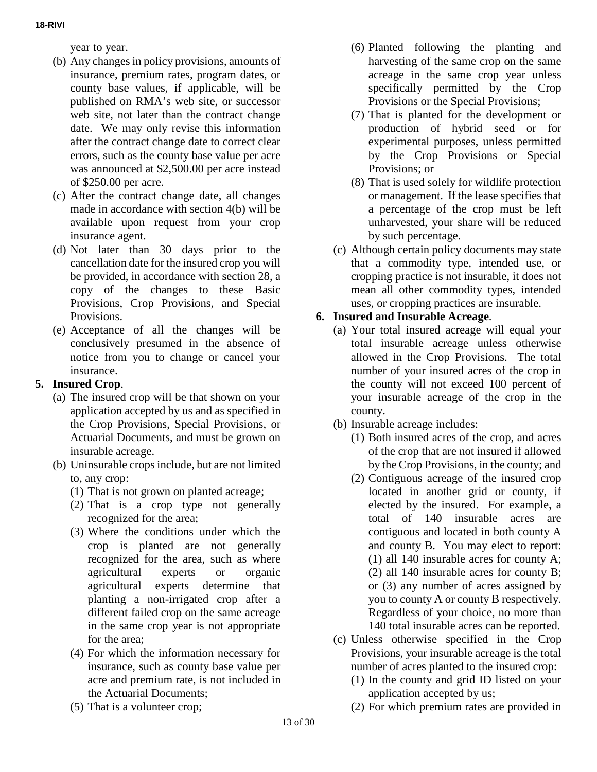year to year.

- (b) Any changes in policy provisions, amounts of insurance, premium rates, program dates, or county base values, if applicable, will be published on RMA's web site, or successor web site, not later than the contract change date. We may only revise this information after the contract change date to correct clear errors, such as the county base value per acre was announced at \$2,500.00 per acre instead of \$250.00 per acre.
- (c) After the contract change date, all changes made in accordance with section 4(b) will be available upon request from your crop insurance agent.
- (d) Not later than 30 days prior to the cancellation date for the insured crop you will be provided, in accordance with section 28, a copy of the changes to these Basic Provisions, Crop Provisions, and Special Provisions.
- (e) Acceptance of all the changes will be conclusively presumed in the absence of notice from you to change or cancel your insurance.

# **5. Insured Crop**.

- (a) The insured crop will be that shown on your application accepted by us and as specified in the Crop Provisions, Special Provisions, or Actuarial Documents, and must be grown on insurable acreage.
- (b) Uninsurable crops include, but are not limited to, any crop:
	- (1) That is not grown on planted acreage;
	- (2) That is a crop type not generally recognized for the area;
	- (3) Where the conditions under which the crop is planted are not generally recognized for the area, such as where agricultural experts or organic agricultural experts determine that planting a non-irrigated crop after a different failed crop on the same acreage in the same crop year is not appropriate for the area;
	- (4) For which the information necessary for insurance, such as county base value per acre and premium rate, is not included in the Actuarial Documents;
	- (5) That is a volunteer crop;
- (6) Planted following the planting and harvesting of the same crop on the same acreage in the same crop year unless specifically permitted by the Crop Provisions or the Special Provisions;
- (7) That is planted for the development or production of hybrid seed or for experimental purposes, unless permitted by the Crop Provisions or Special Provisions; or
- (8) That is used solely for wildlife protection or management. If the lease specifies that a percentage of the crop must be left unharvested, your share will be reduced by such percentage.
- (c) Although certain policy documents may state that a commodity type, intended use, or cropping practice is not insurable, it does not mean all other commodity types, intended uses, or cropping practices are insurable.

# **6. Insured and Insurable Acreage**.

- (a) Your total insured acreage will equal your total insurable acreage unless otherwise allowed in the Crop Provisions. The total number of your insured acres of the crop in the county will not exceed 100 percent of your insurable acreage of the crop in the county.
- (b) Insurable acreage includes:
	- (1) Both insured acres of the crop, and acres of the crop that are not insured if allowed by the Crop Provisions, in the county; and
	- (2) Contiguous acreage of the insured crop located in another grid or county, if elected by the insured. For example, a total of 140 insurable acres are contiguous and located in both county A and county B. You may elect to report: (1) all 140 insurable acres for county A; (2) all 140 insurable acres for county B; or (3) any number of acres assigned by you to county A or county B respectively. Regardless of your choice, no more than 140 total insurable acres can be reported.
- (c) Unless otherwise specified in the Crop Provisions, your insurable acreage is the total number of acres planted to the insured crop:
	- (1) In the county and grid ID listed on your application accepted by us;
	- (2) For which premium rates are provided in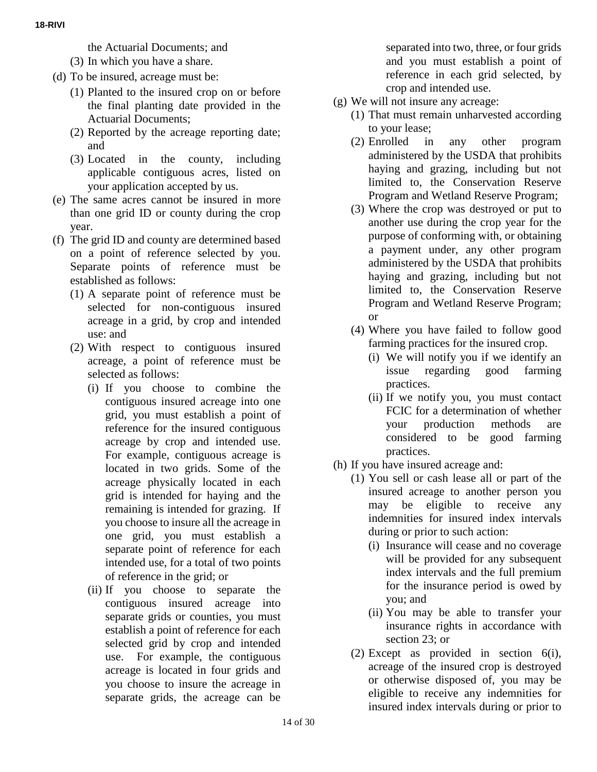- the Actuarial Documents; and
- (3) In which you have a share.
- (d) To be insured, acreage must be:
	- (1) Planted to the insured crop on or before the final planting date provided in the Actuarial Documents;
	- (2) Reported by the acreage reporting date; and
	- (3) Located in the county, including applicable contiguous acres, listed on your application accepted by us.
- (e) The same acres cannot be insured in more than one grid ID or county during the crop year.
- (f) The grid ID and county are determined based on a point of reference selected by you. Separate points of reference must be established as follows:
	- (1) A separate point of reference must be selected for non-contiguous insured acreage in a grid, by crop and intended use: and
	- (2) With respect to contiguous insured acreage, a point of reference must be selected as follows:
		- (i) If you choose to combine the contiguous insured acreage into one grid, you must establish a point of reference for the insured contiguous acreage by crop and intended use. For example, contiguous acreage is located in two grids. Some of the acreage physically located in each grid is intended for haying and the remaining is intended for grazing. If you choose to insure all the acreage in one grid, you must establish a separate point of reference for each intended use, for a total of two points of reference in the grid; or
		- (ii) If you choose to separate the contiguous insured acreage into separate grids or counties, you must establish a point of reference for each selected grid by crop and intended use. For example, the contiguous acreage is located in four grids and you choose to insure the acreage in separate grids, the acreage can be

separated into two, three, or four grids and you must establish a point of reference in each grid selected, by crop and intended use.

- (g) We will not insure any acreage:
	- (1) That must remain unharvested according to your lease;
	- (2) Enrolled in any other program administered by the USDA that prohibits haying and grazing, including but not limited to, the Conservation Reserve Program and Wetland Reserve Program;
	- (3) Where the crop was destroyed or put to another use during the crop year for the purpose of conforming with, or obtaining a payment under, any other program administered by the USDA that prohibits haying and grazing, including but not limited to, the Conservation Reserve Program and Wetland Reserve Program; or
	- (4) Where you have failed to follow good farming practices for the insured crop.
		- (i) We will notify you if we identify an issue regarding good farming practices.
		- (ii) If we notify you, you must contact FCIC for a determination of whether your production methods are considered to be good farming practices.
- (h) If you have insured acreage and:
	- (1) You sell or cash lease all or part of the insured acreage to another person you may be eligible to receive any indemnities for insured index intervals during or prior to such action:
		- (i) Insurance will cease and no coverage will be provided for any subsequent index intervals and the full premium for the insurance period is owed by you; and
		- (ii) You may be able to transfer your insurance rights in accordance with section 23; or
	- (2) Except as provided in section 6(i), acreage of the insured crop is destroyed or otherwise disposed of, you may be eligible to receive any indemnities for insured index intervals during or prior to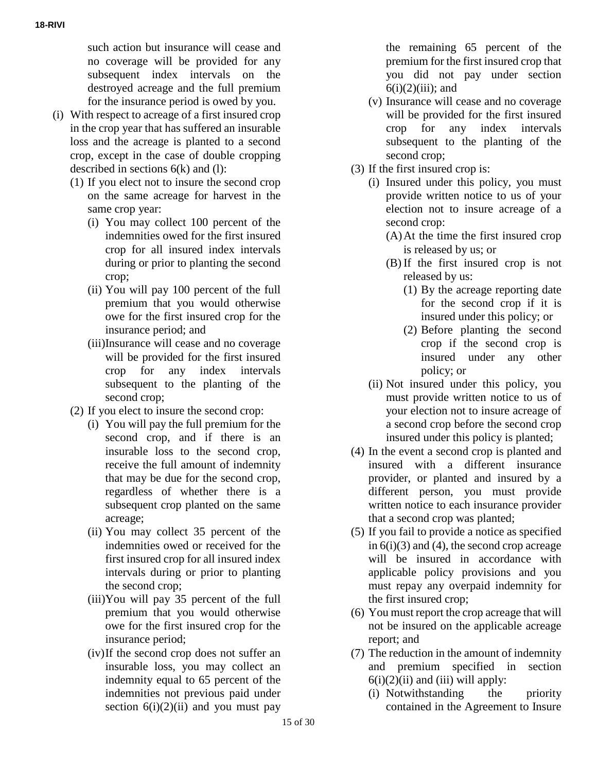such action but insurance will cease and no coverage will be provided for any subsequent index intervals on the destroyed acreage and the full premium for the insurance period is owed by you.

- (i) With respect to acreage of a first insured crop in the crop year that has suffered an insurable loss and the acreage is planted to a second crop, except in the case of double cropping described in sections 6(k) and (l):
	- (1) If you elect not to insure the second crop on the same acreage for harvest in the same crop year:
		- (i) You may collect 100 percent of the indemnities owed for the first insured crop for all insured index intervals during or prior to planting the second crop;
		- (ii) You will pay 100 percent of the full premium that you would otherwise owe for the first insured crop for the insurance period; and
		- (iii)Insurance will cease and no coverage will be provided for the first insured crop for any index intervals subsequent to the planting of the second crop;
	- (2) If you elect to insure the second crop:
		- (i) You will pay the full premium for the second crop, and if there is an insurable loss to the second crop, receive the full amount of indemnity that may be due for the second crop, regardless of whether there is a subsequent crop planted on the same acreage;
		- (ii) You may collect 35 percent of the indemnities owed or received for the first insured crop for all insured index intervals during or prior to planting the second crop;
		- (iii)You will pay 35 percent of the full premium that you would otherwise owe for the first insured crop for the insurance period;
		- (iv)If the second crop does not suffer an insurable loss, you may collect an indemnity equal to 65 percent of the indemnities not previous paid under section  $6(i)(2)(ii)$  and you must pay

the remaining 65 percent of the premium for the first insured crop that you did not pay under section  $6(i)(2)(iii)$ ; and

- (v) Insurance will cease and no coverage will be provided for the first insured crop for any index intervals subsequent to the planting of the second crop;
- (3) If the first insured crop is:
	- (i) Insured under this policy, you must provide written notice to us of your election not to insure acreage of a second crop:
		- (A)At the time the first insured crop is released by us; or
		- (B) If the first insured crop is not released by us:
			- (1) By the acreage reporting date for the second crop if it is insured under this policy; or
			- (2) Before planting the second crop if the second crop is insured under any other policy; or
	- (ii) Not insured under this policy, you must provide written notice to us of your election not to insure acreage of a second crop before the second crop insured under this policy is planted;
- (4) In the event a second crop is planted and insured with a different insurance provider, or planted and insured by a different person, you must provide written notice to each insurance provider that a second crop was planted;
- (5) If you fail to provide a notice as specified in  $6(i)(3)$  and (4), the second crop acreage will be insured in accordance with applicable policy provisions and you must repay any overpaid indemnity for the first insured crop;
- (6) You must report the crop acreage that will not be insured on the applicable acreage report; and
- (7) The reduction in the amount of indemnity and premium specified in section  $6(i)(2)(ii)$  and (iii) will apply:
	- (i) Notwithstanding the priority contained in the Agreement to Insure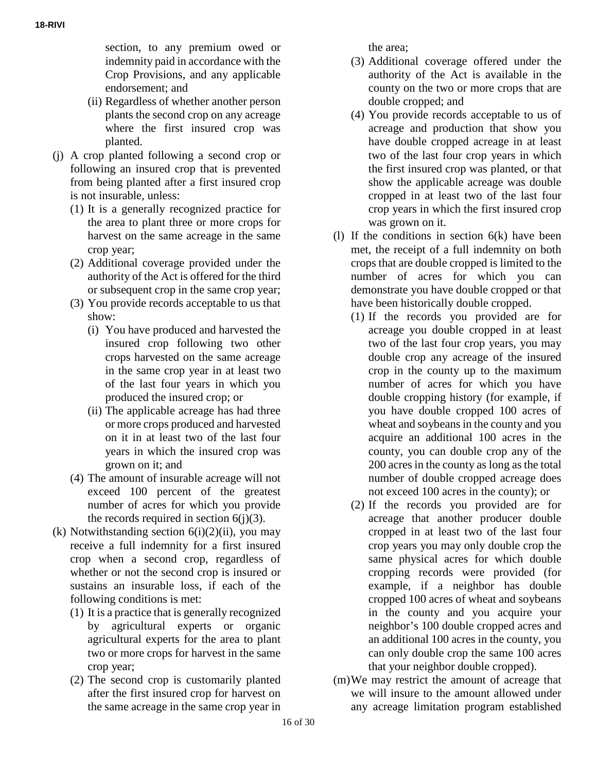section, to any premium owed or indemnity paid in accordance with the Crop Provisions, and any applicable endorsement; and

- (ii) Regardless of whether another person plants the second crop on any acreage where the first insured crop was planted.
- (j) A crop planted following a second crop or following an insured crop that is prevented from being planted after a first insured crop is not insurable, unless:
	- (1) It is a generally recognized practice for the area to plant three or more crops for harvest on the same acreage in the same crop year;
	- (2) Additional coverage provided under the authority of the Act is offered for the third or subsequent crop in the same crop year;
	- (3) You provide records acceptable to us that show:
		- (i) You have produced and harvested the insured crop following two other crops harvested on the same acreage in the same crop year in at least two of the last four years in which you produced the insured crop; or
		- (ii) The applicable acreage has had three or more crops produced and harvested on it in at least two of the last four years in which the insured crop was grown on it; and
	- (4) The amount of insurable acreage will not exceed 100 percent of the greatest number of acres for which you provide the records required in section  $6(j)(3)$ .
- (k) Notwithstanding section  $6(i)(2)(ii)$ , you may receive a full indemnity for a first insured crop when a second crop, regardless of whether or not the second crop is insured or sustains an insurable loss, if each of the following conditions is met:
	- (1) It is a practice that is generally recognized by agricultural experts or organic agricultural experts for the area to plant two or more crops for harvest in the same crop year;
	- (2) The second crop is customarily planted after the first insured crop for harvest on the same acreage in the same crop year in

the area;

- (3) Additional coverage offered under the authority of the Act is available in the county on the two or more crops that are double cropped; and
- (4) You provide records acceptable to us of acreage and production that show you have double cropped acreage in at least two of the last four crop years in which the first insured crop was planted, or that show the applicable acreage was double cropped in at least two of the last four crop years in which the first insured crop was grown on it.
- (l) If the conditions in section 6(k) have been met, the receipt of a full indemnity on both crops that are double cropped is limited to the number of acres for which you can demonstrate you have double cropped or that have been historically double cropped.
	- (1) If the records you provided are for acreage you double cropped in at least two of the last four crop years, you may double crop any acreage of the insured crop in the county up to the maximum number of acres for which you have double cropping history (for example, if you have double cropped 100 acres of wheat and soybeans in the county and you acquire an additional 100 acres in the county, you can double crop any of the 200 acres in the county as long as the total number of double cropped acreage does not exceed 100 acres in the county); or
	- (2) If the records you provided are for acreage that another producer double cropped in at least two of the last four crop years you may only double crop the same physical acres for which double cropping records were provided (for example, if a neighbor has double cropped 100 acres of wheat and soybeans in the county and you acquire your neighbor's 100 double cropped acres and an additional 100 acres in the county, you can only double crop the same 100 acres that your neighbor double cropped).
- (m)We may restrict the amount of acreage that we will insure to the amount allowed under any acreage limitation program established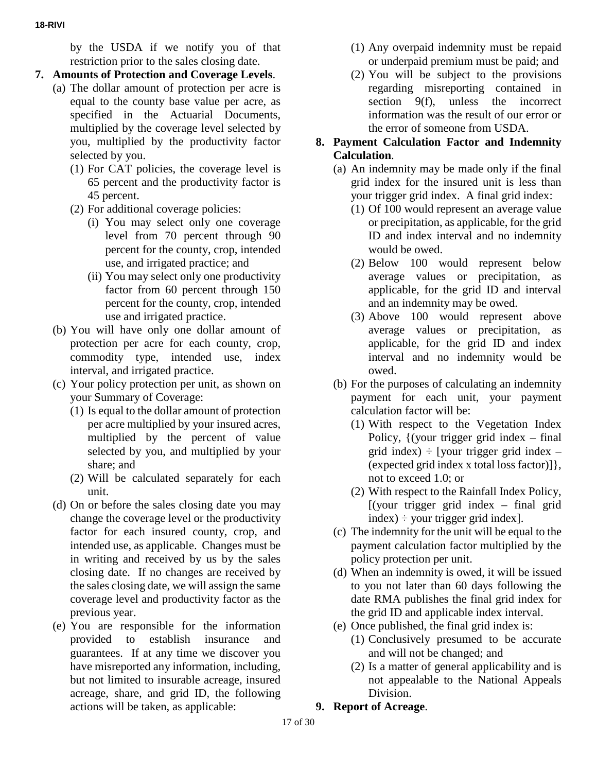by the USDA if we notify you of that restriction prior to the sales closing date.

- **7. Amounts of Protection and Coverage Levels**.
	- (a) The dollar amount of protection per acre is equal to the county base value per acre, as specified in the Actuarial Documents, multiplied by the coverage level selected by you, multiplied by the productivity factor selected by you.
		- (1) For CAT policies, the coverage level is 65 percent and the productivity factor is 45 percent.
		- (2) For additional coverage policies:
			- (i) You may select only one coverage level from 70 percent through 90 percent for the county, crop, intended use, and irrigated practice; and
			- (ii) You may select only one productivity factor from 60 percent through 150 percent for the county, crop, intended use and irrigated practice.
	- (b) You will have only one dollar amount of protection per acre for each county, crop, commodity type, intended use, index interval, and irrigated practice.
	- (c) Your policy protection per unit, as shown on your Summary of Coverage:
		- (1) Is equal to the dollar amount of protection per acre multiplied by your insured acres, multiplied by the percent of value selected by you, and multiplied by your share; and
		- (2) Will be calculated separately for each unit.
	- (d) On or before the sales closing date you may change the coverage level or the productivity factor for each insured county, crop, and intended use, as applicable. Changes must be in writing and received by us by the sales closing date. If no changes are received by the sales closing date, we will assign the same coverage level and productivity factor as the previous year.
	- (e) You are responsible for the information provided to establish insurance and guarantees. If at any time we discover you have misreported any information, including, but not limited to insurable acreage, insured acreage, share, and grid ID, the following actions will be taken, as applicable:
- (1) Any overpaid indemnity must be repaid or underpaid premium must be paid; and
- (2) You will be subject to the provisions regarding misreporting contained in section 9(f), unless the incorrect information was the result of our error or the error of someone from USDA.

#### **8. Payment Calculation Factor and Indemnity Calculation**.

- (a) An indemnity may be made only if the final grid index for the insured unit is less than your trigger grid index. A final grid index:
	- (1) Of 100 would represent an average value or precipitation, as applicable, for the grid ID and index interval and no indemnity would be owed.
	- (2) Below 100 would represent below average values or precipitation, as applicable, for the grid ID and interval and an indemnity may be owed.
	- (3) Above 100 would represent above average values or precipitation, as applicable, for the grid ID and index interval and no indemnity would be owed.
- (b) For the purposes of calculating an indemnity payment for each unit, your payment calculation factor will be:
	- (1) With respect to the Vegetation Index Policy,  $\{$  (your trigger grid index – final grid index)  $\div$  [your trigger grid index – (expected grid index x total loss factor)]}, not to exceed 1.0; or
	- (2) With respect to the Rainfall Index Policy,  $[(\text{your trigger grid index} - \text{final grid}]$  $index$ ) ÷ your trigger grid index].
- (c) The indemnity for the unit will be equal to the payment calculation factor multiplied by the policy protection per unit.
- (d) When an indemnity is owed, it will be issued to you not later than 60 days following the date RMA publishes the final grid index for the grid ID and applicable index interval.
- (e) Once published, the final grid index is: (1) Conclusively presumed to be accurate and will not be changed; and
	- (2) Is a matter of general applicability and is not appealable to the National Appeals Division.
- **9. Report of Acreage**.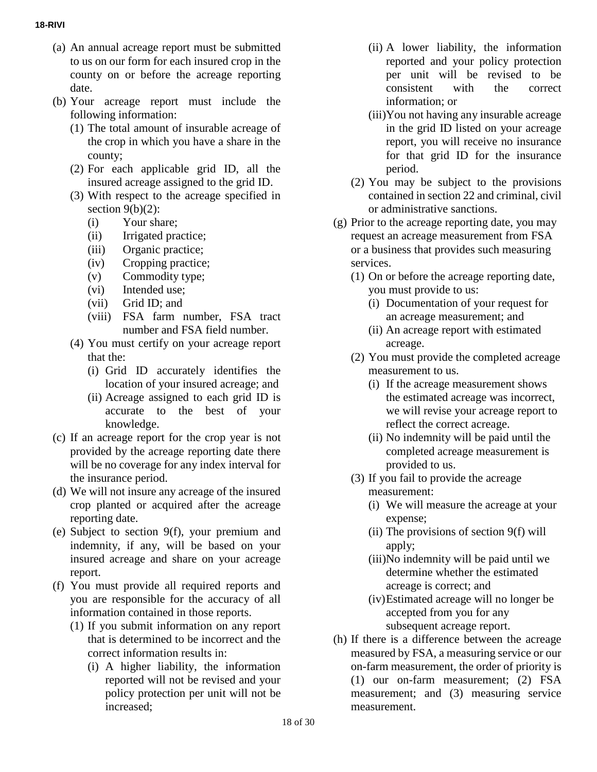- (a) An annual acreage report must be submitted to us on our form for each insured crop in the county on or before the acreage reporting date.
- (b) Your acreage report must include the following information:
	- (1) The total amount of insurable acreage of the crop in which you have a share in the county;
	- (2) For each applicable grid ID, all the insured acreage assigned to the grid ID.
	- (3) With respect to the acreage specified in section  $9(b)(2)$ :
		- (i) Your share;
		- (ii) Irrigated practice;
		- (iii) Organic practice;
		- (iv) Cropping practice;
		- (v) Commodity type;
		- (vi) Intended use;
		- (vii) Grid ID; and
		- (viii) FSA farm number, FSA tract number and FSA field number.
	- (4) You must certify on your acreage report that the:
		- (i) Grid ID accurately identifies the location of your insured acreage; and
		- (ii) Acreage assigned to each grid ID is accurate to the best of your knowledge.
- (c) If an acreage report for the crop year is not provided by the acreage reporting date there will be no coverage for any index interval for the insurance period.
- (d) We will not insure any acreage of the insured crop planted or acquired after the acreage reporting date.
- (e) Subject to section 9(f), your premium and indemnity, if any, will be based on your insured acreage and share on your acreage report.
- (f) You must provide all required reports and you are responsible for the accuracy of all information contained in those reports.
	- (1) If you submit information on any report that is determined to be incorrect and the correct information results in:
		- (i) A higher liability, the information reported will not be revised and your policy protection per unit will not be increased;
- (ii) A lower liability, the information reported and your policy protection per unit will be revised to be consistent with the correct information; or
- (iii)You not having any insurable acreage in the grid ID listed on your acreage report, you will receive no insurance for that grid ID for the insurance period.
- (2) You may be subject to the provisions contained in section 22 and criminal, civil or administrative sanctions.
- (g) Prior to the acreage reporting date, you may request an acreage measurement from FSA or a business that provides such measuring services.
	- (1) On or before the acreage reporting date, you must provide to us:
		- (i) Documentation of your request for an acreage measurement; and
		- (ii) An acreage report with estimated acreage.
	- (2) You must provide the completed acreage measurement to us.
		- (i) If the acreage measurement shows the estimated acreage was incorrect, we will revise your acreage report to reflect the correct acreage.
		- (ii) No indemnity will be paid until the completed acreage measurement is provided to us.
	- (3) If you fail to provide the acreage measurement:
		- (i) We will measure the acreage at your expense;
		- (ii) The provisions of section 9(f) will apply;
		- (iii)No indemnity will be paid until we determine whether the estimated acreage is correct; and
		- (iv)Estimated acreage will no longer be accepted from you for any subsequent acreage report.
- (h) If there is a difference between the acreage measured by FSA, a measuring service or our on-farm measurement, the order of priority is (1) our on-farm measurement; (2) FSA measurement; and (3) measuring service measurement.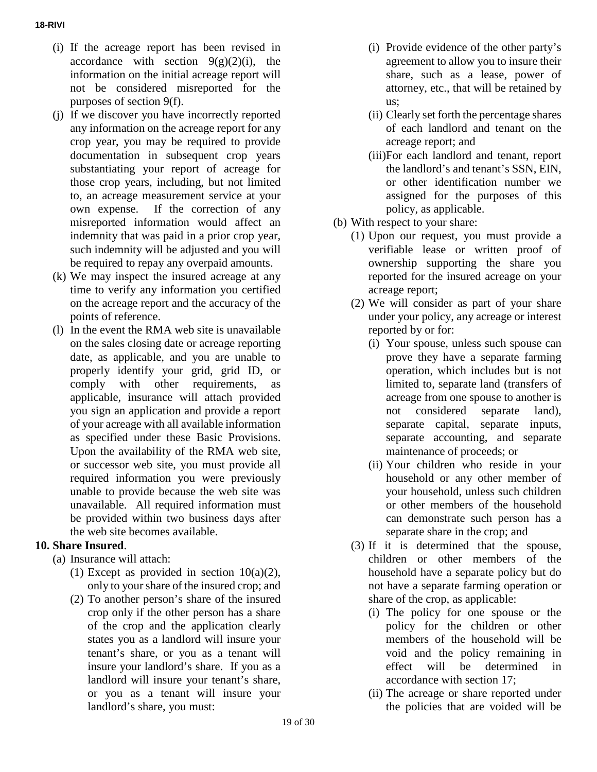- (i) If the acreage report has been revised in accordance with section  $9(g)(2)(i)$ , the information on the initial acreage report will not be considered misreported for the purposes of section 9(f).
- (j) If we discover you have incorrectly reported any information on the acreage report for any crop year, you may be required to provide documentation in subsequent crop years substantiating your report of acreage for those crop years, including, but not limited to, an acreage measurement service at your own expense. If the correction of any misreported information would affect an indemnity that was paid in a prior crop year, such indemnity will be adjusted and you will be required to repay any overpaid amounts.
- (k) We may inspect the insured acreage at any time to verify any information you certified on the acreage report and the accuracy of the points of reference.
- (l) In the event the RMA web site is unavailable on the sales closing date or acreage reporting date, as applicable, and you are unable to properly identify your grid, grid ID, or comply with other requirements, as applicable, insurance will attach provided you sign an application and provide a report of your acreage with all available information as specified under these Basic Provisions. Upon the availability of the RMA web site, or successor web site, you must provide all required information you were previously unable to provide because the web site was unavailable. All required information must be provided within two business days after the web site becomes available.

# **10. Share Insured**.

- (a) Insurance will attach:
	- (1) Except as provided in section  $10(a)(2)$ , only to yourshare of the insured crop; and
	- (2) To another person's share of the insured crop only if the other person has a share of the crop and the application clearly states you as a landlord will insure your tenant's share, or you as a tenant will insure your landlord's share. If you as a landlord will insure your tenant's share, or you as a tenant will insure your landlord's share, you must:
- (i) Provide evidence of the other party's agreement to allow you to insure their share, such as a lease, power of attorney, etc., that will be retained by us;
- (ii) Clearly set forth the percentage shares of each landlord and tenant on the acreage report; and
- (iii)For each landlord and tenant, report the landlord's and tenant's SSN, EIN, or other identification number we assigned for the purposes of this policy, as applicable.
- (b) With respect to your share:
	- (1) Upon our request, you must provide a verifiable lease or written proof of ownership supporting the share you reported for the insured acreage on your acreage report;
	- (2) We will consider as part of your share under your policy, any acreage or interest reported by or for:
		- (i) Your spouse, unless such spouse can prove they have a separate farming operation, which includes but is not limited to, separate land (transfers of acreage from one spouse to another is not considered separate land), separate capital, separate inputs, separate accounting, and separate maintenance of proceeds; or
		- (ii) Your children who reside in your household or any other member of your household, unless such children or other members of the household can demonstrate such person has a separate share in the crop; and
	- (3) If it is determined that the spouse, children or other members of the household have a separate policy but do not have a separate farming operation or share of the crop, as applicable:
		- (i) The policy for one spouse or the policy for the children or other members of the household will be void and the policy remaining in effect will be determined in accordance with section 17;
		- (ii) The acreage or share reported under the policies that are voided will be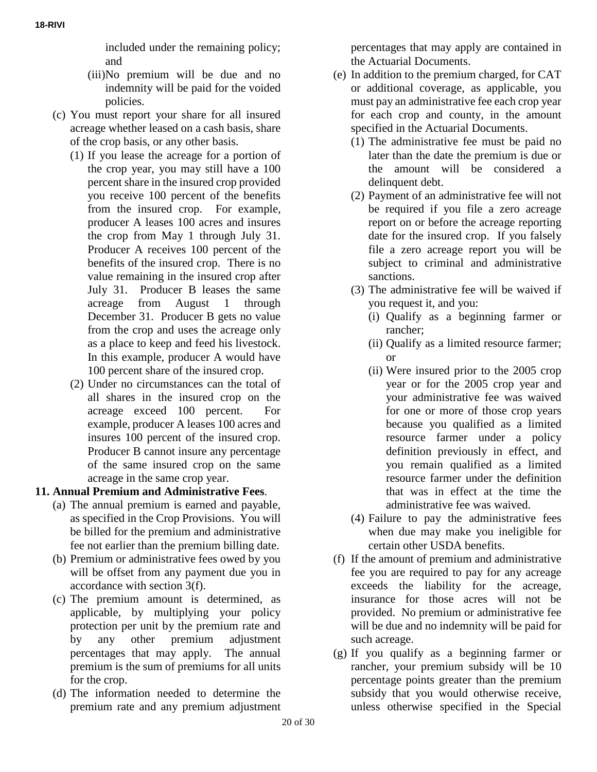included under the remaining policy; and

- (iii)No premium will be due and no indemnity will be paid for the voided policies.
- (c) You must report your share for all insured acreage whether leased on a cash basis, share of the crop basis, or any other basis.
	- (1) If you lease the acreage for a portion of the crop year, you may still have a 100 percent share in the insured crop provided you receive 100 percent of the benefits from the insured crop. For example, producer A leases 100 acres and insures the crop from May 1 through July 31. Producer A receives 100 percent of the benefits of the insured crop. There is no value remaining in the insured crop after July 31. Producer B leases the same acreage from August 1 through December 31. Producer B gets no value from the crop and uses the acreage only as a place to keep and feed his livestock. In this example, producer A would have 100 percent share of the insured crop.
	- (2) Under no circumstances can the total of all shares in the insured crop on the acreage exceed 100 percent. For example, producer A leases 100 acres and insures 100 percent of the insured crop. Producer B cannot insure any percentage of the same insured crop on the same acreage in the same crop year.

# **11. Annual Premium and Administrative Fees**.

- (a) The annual premium is earned and payable, as specified in the Crop Provisions. You will be billed for the premium and administrative fee not earlier than the premium billing date.
- (b) Premium or administrative fees owed by you will be offset from any payment due you in accordance with section 3(f).
- (c) The premium amount is determined, as applicable, by multiplying your policy protection per unit by the premium rate and by any other premium adjustment percentages that may apply. The annual premium is the sum of premiums for all units for the crop.
- (d) The information needed to determine the premium rate and any premium adjustment

percentages that may apply are contained in the Actuarial Documents.

- (e) In addition to the premium charged, for CAT or additional coverage, as applicable, you must pay an administrative fee each crop year for each crop and county, in the amount specified in the Actuarial Documents.
	- (1) The administrative fee must be paid no later than the date the premium is due or the amount will be considered a delinquent debt.
	- (2) Payment of an administrative fee will not be required if you file a zero acreage report on or before the acreage reporting date for the insured crop. If you falsely file a zero acreage report you will be subject to criminal and administrative sanctions.
	- (3) The administrative fee will be waived if you request it, and you:
		- (i) Qualify as a beginning farmer or rancher;
		- (ii) Qualify as a limited resource farmer; or
		- (ii) Were insured prior to the 2005 crop year or for the 2005 crop year and your administrative fee was waived for one or more of those crop years because you qualified as a limited resource farmer under a policy definition previously in effect, and you remain qualified as a limited resource farmer under the definition that was in effect at the time the administrative fee was waived.
	- (4) Failure to pay the administrative fees when due may make you ineligible for certain other USDA benefits.
- (f) If the amount of premium and administrative fee you are required to pay for any acreage exceeds the liability for the acreage, insurance for those acres will not be provided. No premium or administrative fee will be due and no indemnity will be paid for such acreage.
- (g) If you qualify as a beginning farmer or rancher, your premium subsidy will be 10 percentage points greater than the premium subsidy that you would otherwise receive, unless otherwise specified in the Special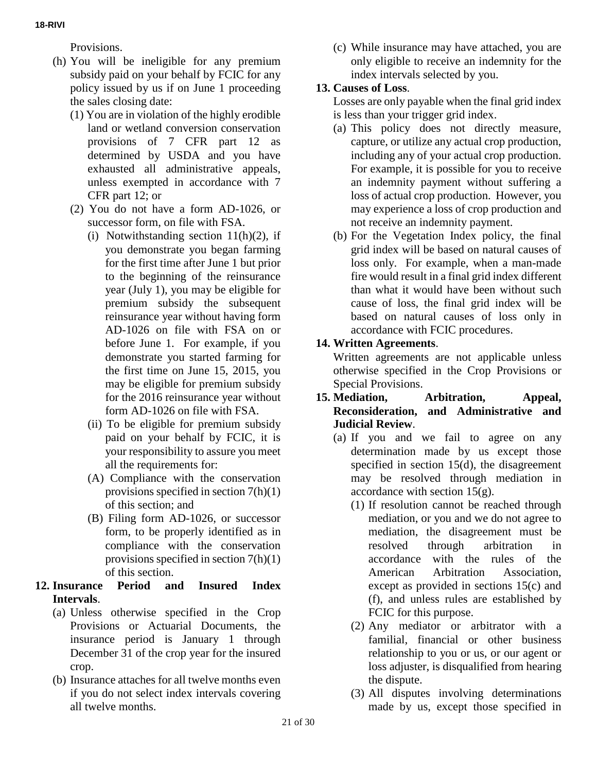Provisions.

- (h) You will be ineligible for any premium subsidy paid on your behalf by FCIC for any policy issued by us if on June 1 proceeding the sales closing date:
	- (1) You are in violation of the highly erodible land or wetland conversion conservation provisions of 7 CFR part 12 as determined by USDA and you have exhausted all administrative appeals, unless exempted in accordance with 7 CFR part 12; or
	- (2) You do not have a form AD-1026, or successor form, on file with FSA.
		- (i) Notwithstanding section  $11(h)(2)$ , if you demonstrate you began farming for the first time after June 1 but prior to the beginning of the reinsurance year (July 1), you may be eligible for premium subsidy the subsequent reinsurance year without having form AD-1026 on file with FSA on or before June 1. For example, if you demonstrate you started farming for the first time on June 15, 2015, you may be eligible for premium subsidy for the 2016 reinsurance year without form AD-1026 on file with FSA.
		- (ii) To be eligible for premium subsidy paid on your behalf by FCIC, it is your responsibility to assure you meet all the requirements for:
		- (A) Compliance with the conservation provisions specified in section 7(h)(1) of this section; and
		- (B) Filing form AD-1026, or successor form, to be properly identified as in compliance with the conservation provisions specified in section 7(h)(1) of this section.

#### **12. Insurance Period and Insured Index Intervals**.

- (a) Unless otherwise specified in the Crop Provisions or Actuarial Documents, the insurance period is January 1 through December 31 of the crop year for the insured crop.
- (b) Insurance attaches for all twelve months even if you do not select index intervals covering all twelve months.

(c) While insurance may have attached, you are only eligible to receive an indemnity for the index intervals selected by you.

## **13. Causes of Loss**.

Losses are only payable when the final grid index is less than your trigger grid index.

- (a) This policy does not directly measure, capture, or utilize any actual crop production, including any of your actual crop production. For example, it is possible for you to receive an indemnity payment without suffering a loss of actual crop production. However, you may experience a loss of crop production and not receive an indemnity payment.
- (b) For the Vegetation Index policy, the final grid index will be based on natural causes of loss only. For example, when a man-made fire would result in a final grid index different than what it would have been without such cause of loss, the final grid index will be based on natural causes of loss only in accordance with FCIC procedures.

# **14. Written Agreements**.

Written agreements are not applicable unless otherwise specified in the Crop Provisions or Special Provisions.

#### **15. Mediation, Arbitration, Appeal, Reconsideration, and Administrative and Judicial Review**.

- (a) If you and we fail to agree on any determination made by us except those specified in section 15(d), the disagreement may be resolved through mediation in accordance with section 15(g).
	- (1) If resolution cannot be reached through mediation, or you and we do not agree to mediation, the disagreement must be resolved through arbitration in accordance with the rules of the American Arbitration Association, except as provided in sections 15(c) and (f), and unless rules are established by FCIC for this purpose.
	- (2) Any mediator or arbitrator with a familial, financial or other business relationship to you or us, or our agent or loss adjuster, is disqualified from hearing the dispute.
	- (3) All disputes involving determinations made by us, except those specified in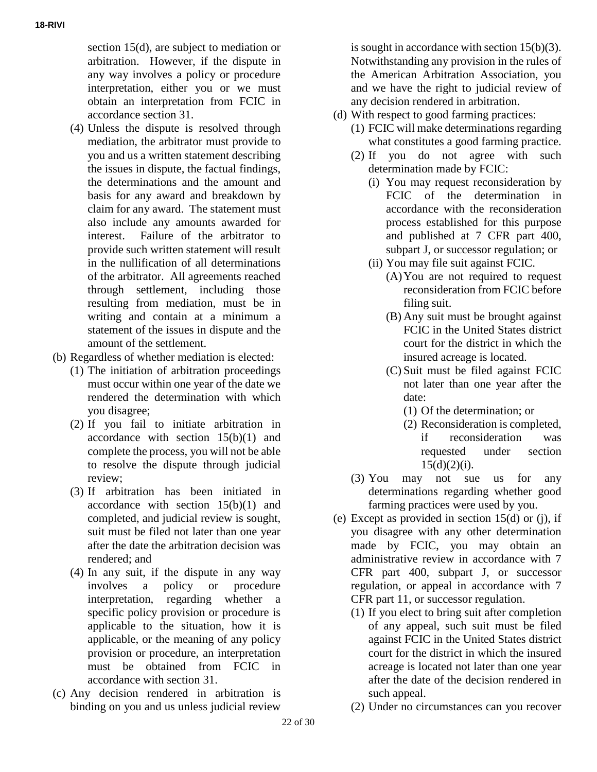section 15(d), are subject to mediation or arbitration. However, if the dispute in any way involves a policy or procedure interpretation, either you or we must obtain an interpretation from FCIC in accordance section 31.

- (4) Unless the dispute is resolved through mediation, the arbitrator must provide to you and us a written statement describing the issues in dispute, the factual findings, the determinations and the amount and basis for any award and breakdown by claim for any award. The statement must also include any amounts awarded for interest. Failure of the arbitrator to provide such written statement will result in the nullification of all determinations of the arbitrator. All agreements reached through settlement, including those resulting from mediation, must be in writing and contain at a minimum a statement of the issues in dispute and the amount of the settlement.
- (b) Regardless of whether mediation is elected:
	- (1) The initiation of arbitration proceedings must occur within one year of the date we rendered the determination with which you disagree;
	- (2) If you fail to initiate arbitration in accordance with section 15(b)(1) and complete the process, you will not be able to resolve the dispute through judicial review;
	- (3) If arbitration has been initiated in accordance with section 15(b)(1) and completed, and judicial review is sought, suit must be filed not later than one year after the date the arbitration decision was rendered; and
	- (4) In any suit, if the dispute in any way involves a policy or procedure interpretation, regarding whether a specific policy provision or procedure is applicable to the situation, how it is applicable, or the meaning of any policy provision or procedure, an interpretation must be obtained from FCIC in accordance with section 31.
- (c) Any decision rendered in arbitration is binding on you and us unless judicial review

is sought in accordance with section 15(b)(3). Notwithstanding any provision in the rules of the American Arbitration Association, you and we have the right to judicial review of any decision rendered in arbitration.

- (d) With respect to good farming practices:
	- (1) FCIC will make determinations regarding what constitutes a good farming practice.
	- (2) If you do not agree with such determination made by FCIC:
		- (i) You may request reconsideration by FCIC of the determination in accordance with the reconsideration process established for this purpose and published at 7 CFR part 400, subpart J, or successor regulation; or
		- (ii) You may file suit against FCIC.
			- (A)You are not required to request reconsideration from FCIC before filing suit.
			- (B) Any suit must be brought against FCIC in the United States district court for the district in which the insured acreage is located.
			- (C) Suit must be filed against FCIC not later than one year after the date:
				- (1) Of the determination; or
				- (2) Reconsideration is completed, if reconsideration was requested under section  $15(d)(2)(i)$ .
	- (3) You may not sue us for any determinations regarding whether good farming practices were used by you.
- (e) Except as provided in section 15(d) or (j), if you disagree with any other determination made by FCIC, you may obtain an administrative review in accordance with 7 CFR part 400, subpart J, or successor regulation, or appeal in accordance with 7 CFR part 11, or successor regulation.
	- (1) If you elect to bring suit after completion of any appeal, such suit must be filed against FCIC in the United States district court for the district in which the insured acreage is located not later than one year after the date of the decision rendered in such appeal.
	- (2) Under no circumstances can you recover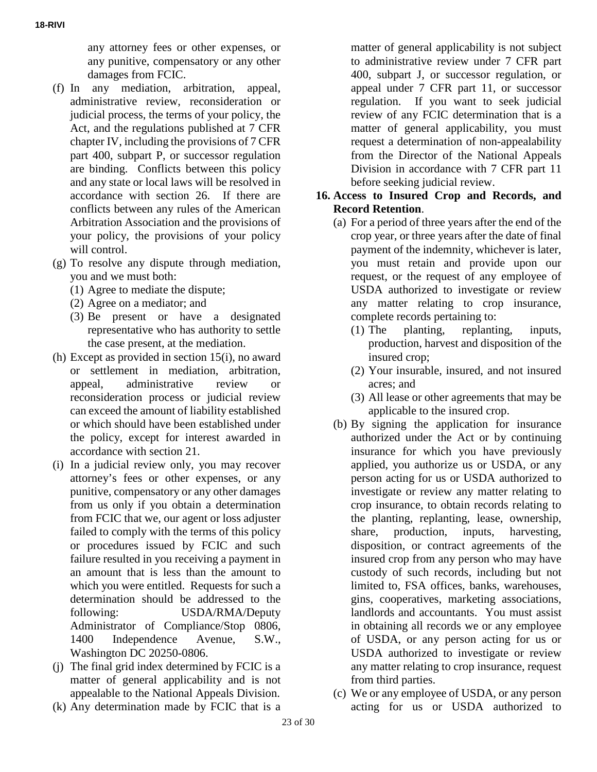any attorney fees or other expenses, or any punitive, compensatory or any other damages from FCIC.

- (f) In any mediation, arbitration, appeal, administrative review, reconsideration or judicial process, the terms of your policy, the Act, and the regulations published at 7 CFR chapter IV, including the provisions of 7 CFR part 400, subpart P, or successor regulation are binding. Conflicts between this policy and any state or local laws will be resolved in accordance with section 26. If there are conflicts between any rules of the American Arbitration Association and the provisions of your policy, the provisions of your policy will control.
- (g) To resolve any dispute through mediation, you and we must both:
	- (1) Agree to mediate the dispute;
	- (2) Agree on a mediator; and
	- (3) Be present or have a designated representative who has authority to settle the case present, at the mediation.
- (h) Except as provided in section 15(i), no award or settlement in mediation, arbitration, appeal, administrative review or reconsideration process or judicial review can exceed the amount of liability established or which should have been established under the policy, except for interest awarded in accordance with section 21.
- (i) In a judicial review only, you may recover attorney's fees or other expenses, or any punitive, compensatory or any other damages from us only if you obtain a determination from FCIC that we, our agent or loss adjuster failed to comply with the terms of this policy or procedures issued by FCIC and such failure resulted in you receiving a payment in an amount that is less than the amount to which you were entitled. Requests for such a determination should be addressed to the following: USDA/RMA/Deputy Administrator of Compliance/Stop 0806, 1400 Independence Avenue, S.W., Washington DC 20250-0806.
- (j) The final grid index determined by FCIC is a matter of general applicability and is not appealable to the National Appeals Division.
- (k) Any determination made by FCIC that is a

matter of general applicability is not subject to administrative review under 7 CFR part 400, subpart J, or successor regulation, or appeal under 7 CFR part 11, or successor regulation. If you want to seek judicial review of any FCIC determination that is a matter of general applicability, you must request a determination of non-appealability from the Director of the National Appeals Division in accordance with 7 CFR part 11 before seeking judicial review.

#### **16. Access to Insured Crop and Records, and Record Retention**.

- (a) For a period of three years after the end of the crop year, or three years after the date of final payment of the indemnity, whichever is later, you must retain and provide upon our request, or the request of any employee of USDA authorized to investigate or review any matter relating to crop insurance, complete records pertaining to:
	- (1) The planting, replanting, inputs, production, harvest and disposition of the insured crop;
	- (2) Your insurable, insured, and not insured acres; and
	- (3) All lease or other agreements that may be applicable to the insured crop.
- (b) By signing the application for insurance authorized under the Act or by continuing insurance for which you have previously applied, you authorize us or USDA, or any person acting for us or USDA authorized to investigate or review any matter relating to crop insurance, to obtain records relating to the planting, replanting, lease, ownership, share, production, inputs, harvesting, disposition, or contract agreements of the insured crop from any person who may have custody of such records, including but not limited to, FSA offices, banks, warehouses, gins, cooperatives, marketing associations, landlords and accountants. You must assist in obtaining all records we or any employee of USDA, or any person acting for us or USDA authorized to investigate or review any matter relating to crop insurance, request from third parties.
- (c) We or any employee of USDA, or any person acting for us or USDA authorized to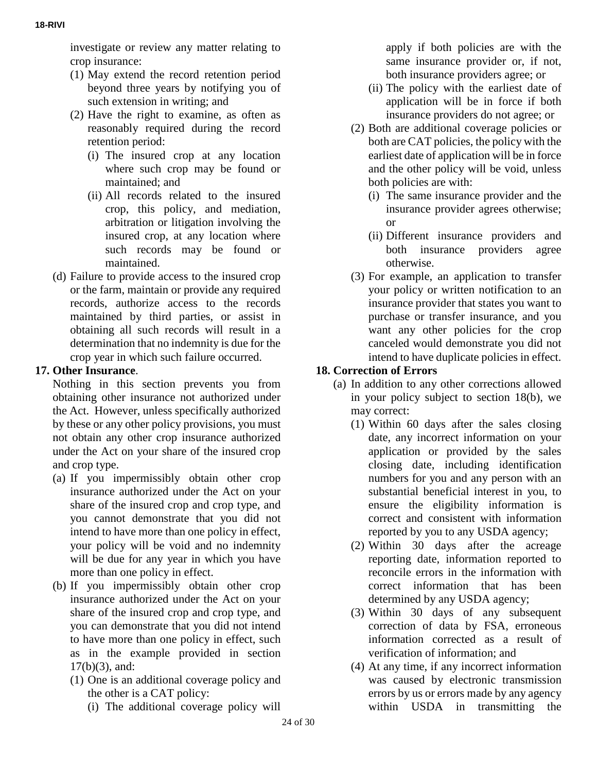investigate or review any matter relating to crop insurance:

- (1) May extend the record retention period beyond three years by notifying you of such extension in writing; and
- (2) Have the right to examine, as often as reasonably required during the record retention period:
	- (i) The insured crop at any location where such crop may be found or maintained; and
	- (ii) All records related to the insured crop, this policy, and mediation, arbitration or litigation involving the insured crop, at any location where such records may be found or maintained.
- (d) Failure to provide access to the insured crop or the farm, maintain or provide any required records, authorize access to the records maintained by third parties, or assist in obtaining all such records will result in a determination that no indemnity is due for the crop year in which such failure occurred.

# **17. Other Insurance**.

Nothing in this section prevents you from obtaining other insurance not authorized under the Act. However, unless specifically authorized by these or any other policy provisions, you must not obtain any other crop insurance authorized under the Act on your share of the insured crop and crop type.

- (a) If you impermissibly obtain other crop insurance authorized under the Act on your share of the insured crop and crop type, and you cannot demonstrate that you did not intend to have more than one policy in effect, your policy will be void and no indemnity will be due for any year in which you have more than one policy in effect.
- (b) If you impermissibly obtain other crop insurance authorized under the Act on your share of the insured crop and crop type, and you can demonstrate that you did not intend to have more than one policy in effect, such as in the example provided in section 17(b)(3), and:
	- (1) One is an additional coverage policy and the other is a CAT policy:
		- (i) The additional coverage policy will

apply if both policies are with the same insurance provider or, if not, both insurance providers agree; or

- (ii) The policy with the earliest date of application will be in force if both insurance providers do not agree; or
- (2) Both are additional coverage policies or both are CAT policies, the policy with the earliest date of application will be in force and the other policy will be void, unless both policies are with:
	- (i) The same insurance provider and the insurance provider agrees otherwise; or
	- (ii) Different insurance providers and both insurance providers agree otherwise.
- (3) For example, an application to transfer your policy or written notification to an insurance provider that states you want to purchase or transfer insurance, and you want any other policies for the crop canceled would demonstrate you did not intend to have duplicate policies in effect.

## **18. Correction of Errors**

- (a) In addition to any other corrections allowed in your policy subject to section 18(b), we may correct:
	- (1) Within 60 days after the sales closing date, any incorrect information on your application or provided by the sales closing date, including identification numbers for you and any person with an substantial beneficial interest in you, to ensure the eligibility information is correct and consistent with information reported by you to any USDA agency;
	- (2) Within 30 days after the acreage reporting date, information reported to reconcile errors in the information with correct information that has been determined by any USDA agency;
	- (3) Within 30 days of any subsequent correction of data by FSA, erroneous information corrected as a result of verification of information; and
	- (4) At any time, if any incorrect information was caused by electronic transmission errors by us or errors made by any agency within USDA in transmitting the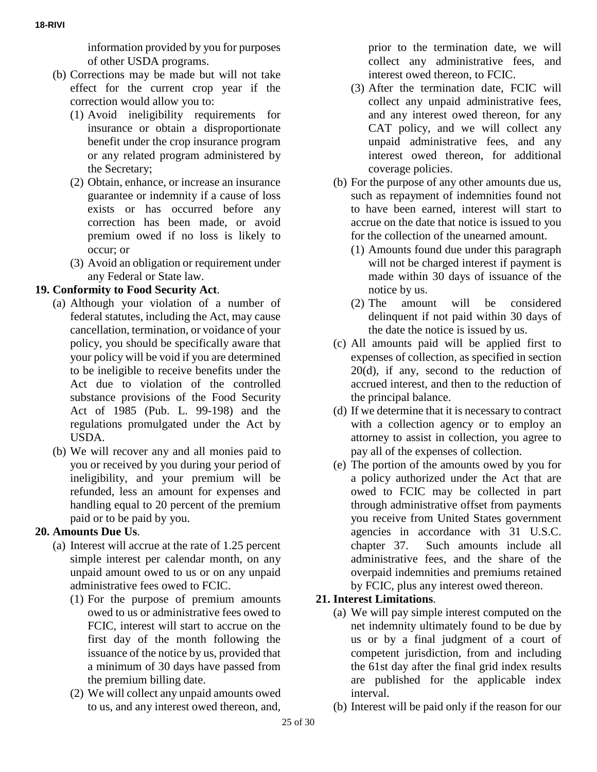information provided by you for purposes of other USDA programs.

- (b) Corrections may be made but will not take effect for the current crop year if the correction would allow you to:
	- (1) Avoid ineligibility requirements for insurance or obtain a disproportionate benefit under the crop insurance program or any related program administered by the Secretary;
	- (2) Obtain, enhance, or increase an insurance guarantee or indemnity if a cause of loss exists or has occurred before any correction has been made, or avoid premium owed if no loss is likely to occur; or
	- (3) Avoid an obligation or requirement under any Federal or State law.

## **19. Conformity to Food Security Act**.

- (a) Although your violation of a number of federal statutes, including the Act, may cause cancellation, termination, or voidance of your policy, you should be specifically aware that your policy will be void if you are determined to be ineligible to receive benefits under the Act due to violation of the controlled substance provisions of the Food Security Act of 1985 (Pub. L. 99-198) and the regulations promulgated under the Act by USDA.
- (b) We will recover any and all monies paid to you or received by you during your period of ineligibility, and your premium will be refunded, less an amount for expenses and handling equal to 20 percent of the premium paid or to be paid by you.

# **20. Amounts Due Us**.

- (a) Interest will accrue at the rate of 1.25 percent simple interest per calendar month, on any unpaid amount owed to us or on any unpaid administrative fees owed to FCIC.
	- (1) For the purpose of premium amounts owed to us or administrative fees owed to FCIC, interest will start to accrue on the first day of the month following the issuance of the notice by us, provided that a minimum of 30 days have passed from the premium billing date.
	- (2) We will collect any unpaid amounts owed to us, and any interest owed thereon, and,

prior to the termination date, we will collect any administrative fees, and interest owed thereon, to FCIC.

- (3) After the termination date, FCIC will collect any unpaid administrative fees, and any interest owed thereon, for any CAT policy, and we will collect any unpaid administrative fees, and any interest owed thereon, for additional coverage policies.
- (b) For the purpose of any other amounts due us, such as repayment of indemnities found not to have been earned, interest will start to accrue on the date that notice is issued to you for the collection of the unearned amount.
	- (1) Amounts found due under this paragraph will not be charged interest if payment is made within 30 days of issuance of the notice by us.
	- (2) The amount will be considered delinquent if not paid within 30 days of the date the notice is issued by us.
- (c) All amounts paid will be applied first to expenses of collection, as specified in section 20(d), if any, second to the reduction of accrued interest, and then to the reduction of the principal balance.
- (d) If we determine that it is necessary to contract with a collection agency or to employ an attorney to assist in collection, you agree to pay all of the expenses of collection.
- (e) The portion of the amounts owed by you for a policy authorized under the Act that are owed to FCIC may be collected in part through administrative offset from payments you receive from United States government agencies in accordance with 31 U.S.C. chapter 37. Such amounts include all administrative fees, and the share of the overpaid indemnities and premiums retained by FCIC, plus any interest owed thereon.

# **21. Interest Limitations**.

- (a) We will pay simple interest computed on the net indemnity ultimately found to be due by us or by a final judgment of a court of competent jurisdiction, from and including the 61st day after the final grid index results are published for the applicable index interval.
- (b) Interest will be paid only if the reason for our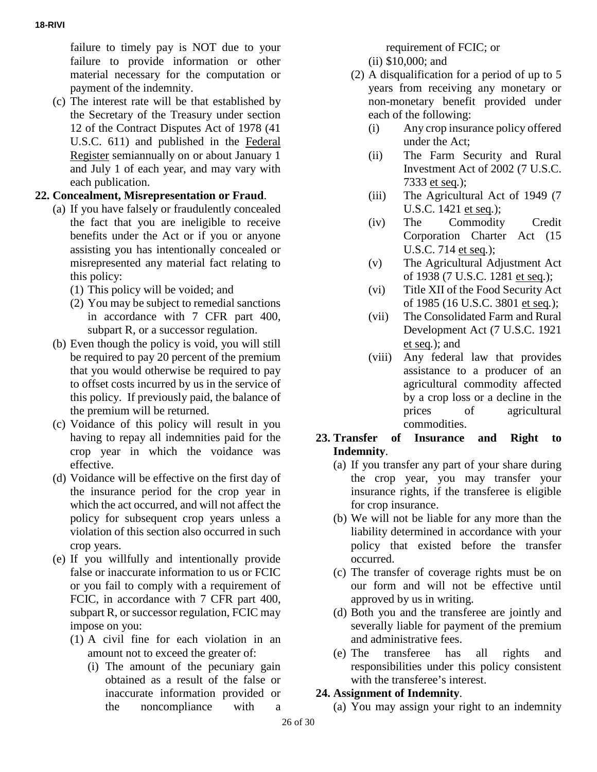failure to timely pay is NOT due to your failure to provide information or other material necessary for the computation or payment of the indemnity.

(c) The interest rate will be that established by the Secretary of the Treasury under section 12 of the Contract Disputes Act of 1978 (41 U.S.C. 611) and published in the Federal Register semiannually on or about January 1 and July 1 of each year, and may vary with each publication.

# **22. Concealment, Misrepresentation or Fraud**.

- (a) If you have falsely or fraudulently concealed the fact that you are ineligible to receive benefits under the Act or if you or anyone assisting you has intentionally concealed or misrepresented any material fact relating to this policy:
	- (1) This policy will be voided; and
	- (2) You may be subject to remedial sanctions in accordance with 7 CFR part 400, subpart R, or a successor regulation.
- (b) Even though the policy is void, you will still be required to pay 20 percent of the premium that you would otherwise be required to pay to offset costs incurred by us in the service of this policy. If previously paid, the balance of the premium will be returned.
- (c) Voidance of this policy will result in you having to repay all indemnities paid for the crop year in which the voidance was effective.
- (d) Voidance will be effective on the first day of the insurance period for the crop year in which the act occurred, and will not affect the policy for subsequent crop years unless a violation of this section also occurred in such crop years.
- (e) If you willfully and intentionally provide false or inaccurate information to us or FCIC or you fail to comply with a requirement of FCIC, in accordance with 7 CFR part 400, subpart R, or successor regulation, FCIC may impose on you:
	- (1) A civil fine for each violation in an amount not to exceed the greater of:
		- (i) The amount of the pecuniary gain obtained as a result of the false or inaccurate information provided or the noncompliance with a

requirement of FCIC; or

(ii) \$10,000; and

- (2) A disqualification for a period of up to 5 years from receiving any monetary or non-monetary benefit provided under each of the following:
	- (i) Any crop insurance policy offered under the Act;
	- (ii) The Farm Security and Rural Investment Act of 2002 (7 U.S.C. 7333 et seq*.*);
	- (iii) The Agricultural Act of 1949 (7 U.S.C. 1421 et seq*.*);
	- (iv) The Commodity Credit Corporation Charter Act (15 U.S.C. 714 et seq*.*);
	- (v) The Agricultural Adjustment Act of 1938 (7 U.S.C. 1281 et seq*.*);
	- (vi) Title XII of the Food Security Act of 1985 (16 U.S.C. 3801 et seq*.*);
	- (vii) The Consolidated Farm and Rural Development Act (7 U.S.C. 1921 et seq*.*); and
	- (viii) Any federal law that provides assistance to a producer of an agricultural commodity affected by a crop loss or a decline in the prices of agricultural commodities.

## **23. Transfer of Insurance and Right to Indemnity**.

- (a) If you transfer any part of your share during the crop year, you may transfer your insurance rights, if the transferee is eligible for crop insurance.
- (b) We will not be liable for any more than the liability determined in accordance with your policy that existed before the transfer occurred.
- (c) The transfer of coverage rights must be on our form and will not be effective until approved by us in writing.
- (d) Both you and the transferee are jointly and severally liable for payment of the premium and administrative fees.
- (e) The transferee has all rights and responsibilities under this policy consistent with the transferee's interest.

# **24. Assignment of Indemnity**.

(a) You may assign your right to an indemnity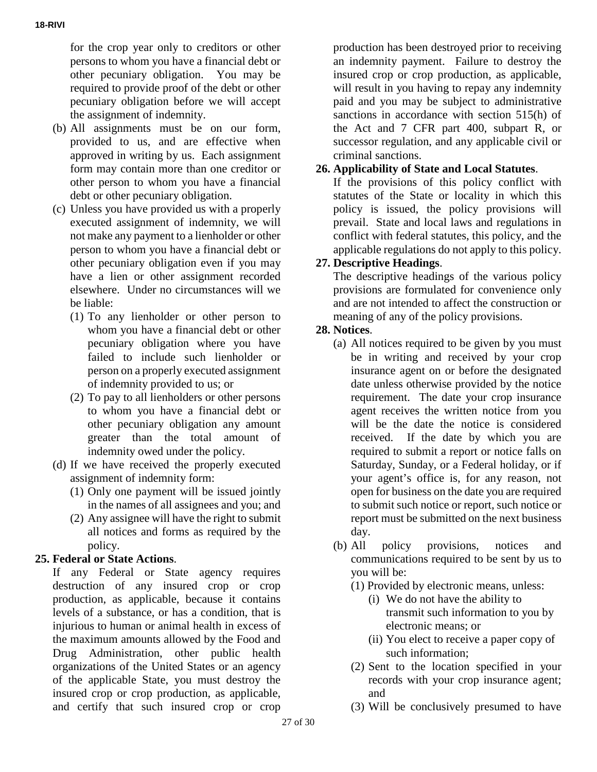for the crop year only to creditors or other persons to whom you have a financial debt or other pecuniary obligation. You may be required to provide proof of the debt or other pecuniary obligation before we will accept the assignment of indemnity.

- (b) All assignments must be on our form, provided to us, and are effective when approved in writing by us. Each assignment form may contain more than one creditor or other person to whom you have a financial debt or other pecuniary obligation.
- (c) Unless you have provided us with a properly executed assignment of indemnity, we will not make any payment to a lienholder or other person to whom you have a financial debt or other pecuniary obligation even if you may have a lien or other assignment recorded elsewhere. Under no circumstances will we be liable:
	- (1) To any lienholder or other person to whom you have a financial debt or other pecuniary obligation where you have failed to include such lienholder or person on a properly executed assignment of indemnity provided to us; or
	- (2) To pay to all lienholders or other persons to whom you have a financial debt or other pecuniary obligation any amount greater than the total amount of indemnity owed under the policy.
- (d) If we have received the properly executed assignment of indemnity form:
	- (1) Only one payment will be issued jointly in the names of all assignees and you; and
	- (2) Any assignee will have the right to submit all notices and forms as required by the policy.

# **25. Federal or State Actions**.

If any Federal or State agency requires destruction of any insured crop or crop production, as applicable, because it contains levels of a substance, or has a condition, that is injurious to human or animal health in excess of the maximum amounts allowed by the Food and Drug Administration, other public health organizations of the United States or an agency of the applicable State, you must destroy the insured crop or crop production, as applicable, and certify that such insured crop or crop

production has been destroyed prior to receiving an indemnity payment. Failure to destroy the insured crop or crop production, as applicable, will result in you having to repay any indemnity paid and you may be subject to administrative sanctions in accordance with section 515(h) of the Act and 7 CFR part 400, subpart R, or successor regulation, and any applicable civil or criminal sanctions.

# **26. Applicability of State and Local Statutes**.

If the provisions of this policy conflict with statutes of the State or locality in which this policy is issued, the policy provisions will prevail. State and local laws and regulations in conflict with federal statutes, this policy, and the applicable regulations do not apply to this policy.

# **27. Descriptive Headings**.

The descriptive headings of the various policy provisions are formulated for convenience only and are not intended to affect the construction or meaning of any of the policy provisions.

## **28. Notices**.

- (a) All notices required to be given by you must be in writing and received by your crop insurance agent on or before the designated date unless otherwise provided by the notice requirement. The date your crop insurance agent receives the written notice from you will be the date the notice is considered received. If the date by which you are required to submit a report or notice falls on Saturday, Sunday, or a Federal holiday, or if your agent's office is, for any reason, not open for business on the date you are required to submit such notice or report, such notice or report must be submitted on the next business day.
- (b) All policy provisions, notices and communications required to be sent by us to you will be:
	- (1) Provided by electronic means, unless:
		- (i) We do not have the ability to transmit such information to you by electronic means; or
		- (ii) You elect to receive a paper copy of such information;
	- (2) Sent to the location specified in your records with your crop insurance agent; and
	- (3) Will be conclusively presumed to have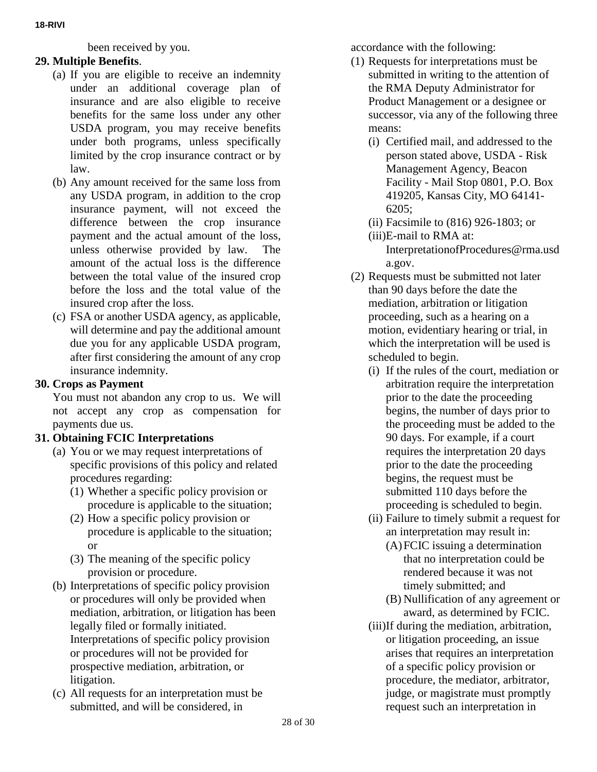**18-RIVI**

been received by you.

# **29. Multiple Benefits**.

- (a) If you are eligible to receive an indemnity under an additional coverage plan of insurance and are also eligible to receive benefits for the same loss under any other USDA program, you may receive benefits under both programs, unless specifically limited by the crop insurance contract or by law.
- (b) Any amount received for the same loss from any USDA program, in addition to the crop insurance payment, will not exceed the difference between the crop insurance payment and the actual amount of the loss, unless otherwise provided by law. The amount of the actual loss is the difference between the total value of the insured crop before the loss and the total value of the insured crop after the loss.
- (c) FSA or another USDA agency, as applicable, will determine and pay the additional amount due you for any applicable USDA program, after first considering the amount of any crop insurance indemnity.

### **30. Crops as Payment**

You must not abandon any crop to us. We will not accept any crop as compensation for payments due us.

# **31. Obtaining FCIC Interpretations**

- (a) You or we may request interpretations of specific provisions of this policy and related procedures regarding:
	- (1) Whether a specific policy provision or procedure is applicable to the situation;
	- (2) How a specific policy provision or procedure is applicable to the situation; or
	- (3) The meaning of the specific policy provision or procedure.
- (b) Interpretations of specific policy provision or procedures will only be provided when mediation, arbitration, or litigation has been legally filed or formally initiated. Interpretations of specific policy provision or procedures will not be provided for prospective mediation, arbitration, or litigation.
- (c) All requests for an interpretation must be submitted, and will be considered, in

accordance with the following:

- (1) Requests for interpretations must be submitted in writing to the attention of the RMA Deputy Administrator for Product Management or a designee or successor, via any of the following three means:
	- (i) Certified mail, and addressed to the person stated above, USDA - Risk Management Agency, Beacon Facility - Mail Stop 0801, P.O. Box 419205, Kansas City, MO 64141- 6205;
	- (ii) Facsimile to (816) 926-1803; or
	- (iii)E-mail to RMA at: InterpretationofProcedures@rma.usd a.gov.
- (2) Requests must be submitted not later than 90 days before the date the mediation, arbitration or litigation proceeding, such as a hearing on a motion, evidentiary hearing or trial, in which the interpretation will be used is scheduled to begin.
	- (i) If the rules of the court, mediation or arbitration require the interpretation prior to the date the proceeding begins, the number of days prior to the proceeding must be added to the 90 days. For example, if a court requires the interpretation 20 days prior to the date the proceeding begins, the request must be submitted 110 days before the proceeding is scheduled to begin.
	- (ii) Failure to timely submit a request for an interpretation may result in:
		- (A)FCIC issuing a determination that no interpretation could be rendered because it was not timely submitted; and
		- (B) Nullification of any agreement or award, as determined by FCIC.
	- (iii)If during the mediation, arbitration, or litigation proceeding, an issue arises that requires an interpretation of a specific policy provision or procedure, the mediator, arbitrator, judge, or magistrate must promptly request such an interpretation in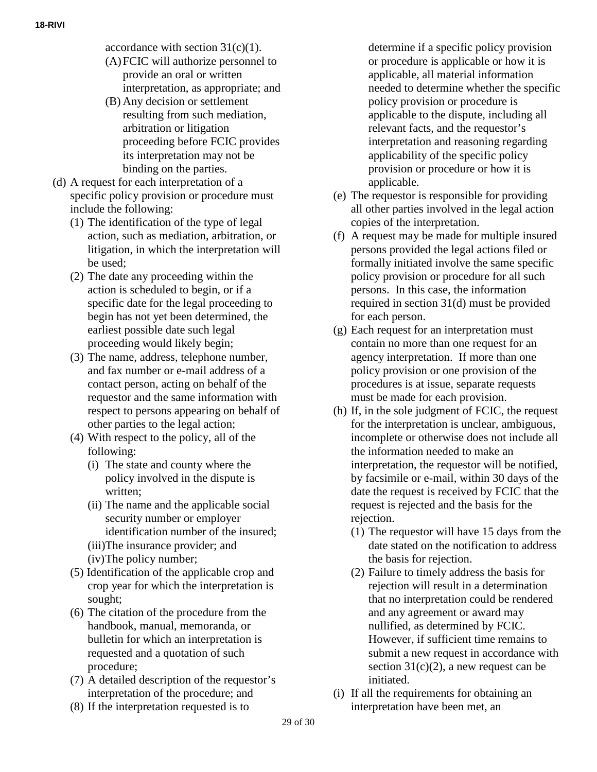accordance with section  $31(c)(1)$ .

- (A)FCIC will authorize personnel to provide an oral or written interpretation, as appropriate; and
- (B) Any decision or settlement resulting from such mediation, arbitration or litigation proceeding before FCIC provides its interpretation may not be binding on the parties.
- (d) A request for each interpretation of a specific policy provision or procedure must include the following:
	- (1) The identification of the type of legal action, such as mediation, arbitration, or litigation, in which the interpretation will be used;
	- (2) The date any proceeding within the action is scheduled to begin, or if a specific date for the legal proceeding to begin has not yet been determined, the earliest possible date such legal proceeding would likely begin;
	- (3) The name, address, telephone number, and fax number or e-mail address of a contact person, acting on behalf of the requestor and the same information with respect to persons appearing on behalf of other parties to the legal action;
	- (4) With respect to the policy, all of the following:
		- (i) The state and county where the policy involved in the dispute is written;
		- (ii) The name and the applicable social security number or employer identification number of the insured;
		- (iii)The insurance provider; and
		- (iv)The policy number;
	- (5) Identification of the applicable crop and crop year for which the interpretation is sought;
	- (6) The citation of the procedure from the handbook, manual, memoranda, or bulletin for which an interpretation is requested and a quotation of such procedure;
	- (7) A detailed description of the requestor's interpretation of the procedure; and
	- (8) If the interpretation requested is to

determine if a specific policy provision or procedure is applicable or how it is applicable, all material information needed to determine whether the specific policy provision or procedure is applicable to the dispute, including all relevant facts, and the requestor's interpretation and reasoning regarding applicability of the specific policy provision or procedure or how it is applicable.

- (e) The requestor is responsible for providing all other parties involved in the legal action copies of the interpretation.
- (f) A request may be made for multiple insured persons provided the legal actions filed or formally initiated involve the same specific policy provision or procedure for all such persons. In this case, the information required in section 31(d) must be provided for each person.
- (g) Each request for an interpretation must contain no more than one request for an agency interpretation. If more than one policy provision or one provision of the procedures is at issue, separate requests must be made for each provision.
- (h) If, in the sole judgment of FCIC, the request for the interpretation is unclear, ambiguous, incomplete or otherwise does not include all the information needed to make an interpretation, the requestor will be notified, by facsimile or e-mail, within 30 days of the date the request is received by FCIC that the request is rejected and the basis for the rejection.
	- (1) The requestor will have 15 days from the date stated on the notification to address the basis for rejection.
	- (2) Failure to timely address the basis for rejection will result in a determination that no interpretation could be rendered and any agreement or award may nullified, as determined by FCIC. However, if sufficient time remains to submit a new request in accordance with section  $31(c)(2)$ , a new request can be initiated.
- (i) If all the requirements for obtaining an interpretation have been met, an